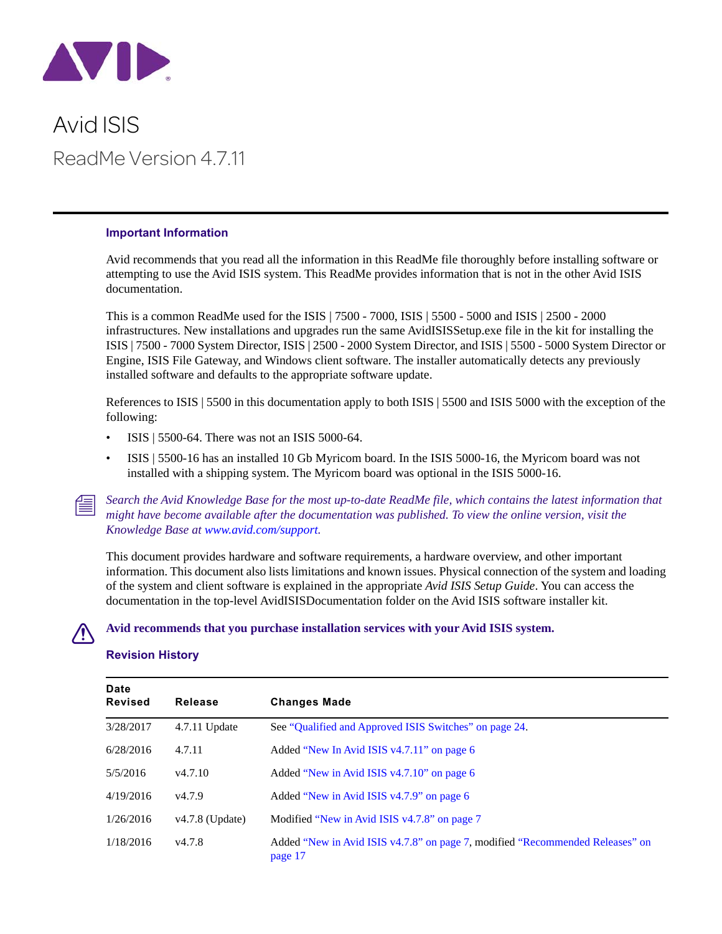

# Avid ISIS ReadMe Version 4.7.11

### **Important Information**

Avid recommends that you read all the information in this ReadMe file thoroughly before installing software or attempting to use the Avid ISIS system. This ReadMe provides information that is not in the other Avid ISIS documentation.

This is a common ReadMe used for the ISIS | 7500 - 7000, ISIS | 5500 - 5000 and ISIS | 2500 - 2000 infrastructures. New installations and upgrades run the same AvidISISSetup.exe file in the kit for installing the ISIS | 7500 - 7000 System Director, ISIS | 2500 - 2000 System Director, and ISIS | 5500 - 5000 System Director or Engine, ISIS File Gateway, and Windows client software. The installer automatically detects any previously installed software and defaults to the appropriate software update.

References to ISIS | 5500 in this documentation apply to both ISIS | 5500 and ISIS 5000 with the exception of the following:

- ISIS  $\vert$  5500-64. There was not an ISIS 5000-64.
- ISIS | 5500-16 has an installed 10 Gb Myricom board. In the ISIS 5000-16, the Myricom board was not installed with a shipping system. The Myricom board was optional in the ISIS 5000-16.

n *Search the Avid Knowledge Base for the most up-to-date ReadMe file, which contains the latest information that might have become available after the documentation was published. To view the online version, visit the Knowledge Base at [www.avid.com/support.](http://www.avid.com/support)*

This document provides hardware and software requirements, a hardware overview, and other important information. This document also lists limitations and known issues. Physical connection of the system and loading of the system and client software is explained in the appropriate *Avid ISIS Setup Guide*. You can access the documentation in the top-level AvidISISDocumentation folder on the Avid ISIS software installer kit.

## Avid recommends that you purchase installation services with your Avid ISIS system.

### **Revision History**

| Date<br><b>Revised</b> | Release           | <b>Changes Made</b>                                                                      |
|------------------------|-------------------|------------------------------------------------------------------------------------------|
| 3/28/2017              | $4.7.11$ Update   | See "Qualified and Approved ISIS Switches" on page 24.                                   |
| 6/28/2016              | 4.7.11            | Added "New In Avid ISIS v4.7.11" on page 6                                               |
| 5/5/2016               | v4.7.10           | Added "New in Avid ISIS v4.7.10" on page 6                                               |
| 4/19/2016              | v4.7.9            | Added "New in Avid ISIS v4.7.9" on page 6                                                |
| 1/26/2016              | $v4.7.8$ (Update) | Modified "New in Avid ISIS v4.7.8" on page 7                                             |
| 1/18/2016              | v4.7.8            | Added "New in Avid ISIS v4.7.8" on page 7, modified "Recommended Releases" on<br>page 17 |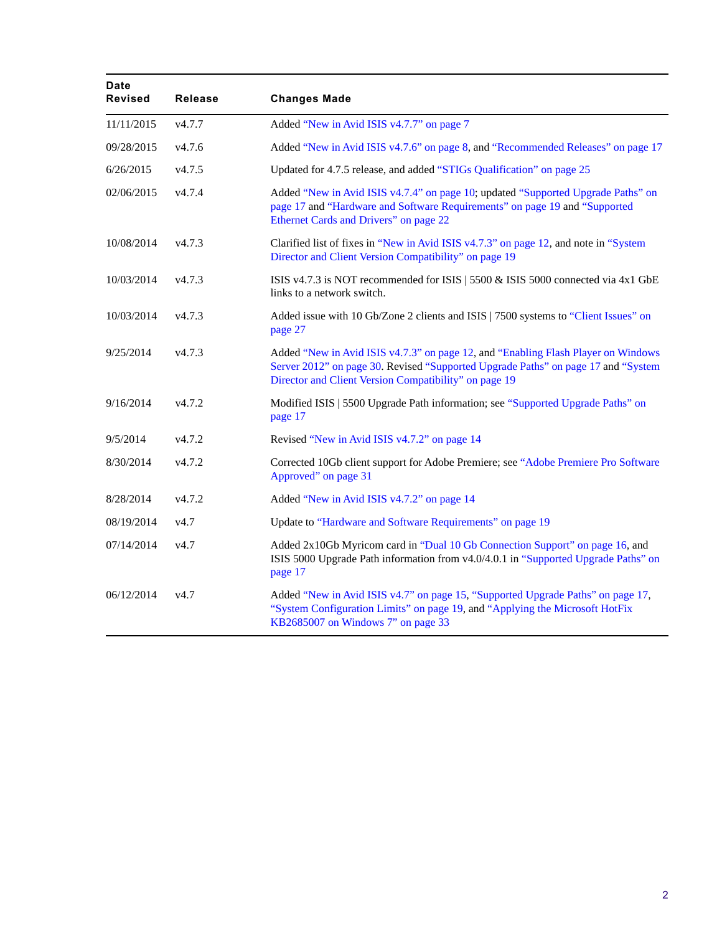| <b>Date</b><br><b>Revised</b> | <b>Release</b> | <b>Changes Made</b>                                                                                                                                                                                                             |
|-------------------------------|----------------|---------------------------------------------------------------------------------------------------------------------------------------------------------------------------------------------------------------------------------|
| 11/11/2015                    | v4.7.7         | Added "New in Avid ISIS v4.7.7" on page 7                                                                                                                                                                                       |
| 09/28/2015                    | v4.7.6         | Added "New in Avid ISIS v4.7.6" on page 8, and "Recommended Releases" on page 17                                                                                                                                                |
| 6/26/2015                     | v4.7.5         | Updated for 4.7.5 release, and added "STIGs Qualification" on page 25                                                                                                                                                           |
| 02/06/2015                    | v4.7.4         | Added "New in Avid ISIS v4.7.4" on page 10; updated "Supported Upgrade Paths" on<br>page 17 and "Hardware and Software Requirements" on page 19 and "Supported<br>Ethernet Cards and Drivers" on page 22                        |
| 10/08/2014                    | v4.7.3         | Clarified list of fixes in "New in Avid ISIS v4.7.3" on page 12, and note in "System"<br>Director and Client Version Compatibility" on page 19                                                                                  |
| 10/03/2014                    | v4.7.3         | ISIS v4.7.3 is NOT recommended for ISIS $\vert$ 5500 & ISIS 5000 connected via 4x1 GbE<br>links to a network switch.                                                                                                            |
| 10/03/2014                    | v4.7.3         | Added issue with 10 Gb/Zone 2 clients and ISIS   7500 systems to "Client Issues" on<br>page 27                                                                                                                                  |
| 9/25/2014                     | v4.7.3         | Added "New in Avid ISIS v4.7.3" on page 12, and "Enabling Flash Player on Windows<br>Server 2012" on page 30. Revised "Supported Upgrade Paths" on page 17 and "System<br>Director and Client Version Compatibility" on page 19 |
| 9/16/2014                     | v4.7.2         | Modified ISIS   5500 Upgrade Path information; see "Supported Upgrade Paths" on<br>page 17                                                                                                                                      |
| 9/5/2014                      | v4.7.2         | Revised "New in Avid ISIS v4.7.2" on page 14                                                                                                                                                                                    |
| 8/30/2014                     | v4.7.2         | Corrected 10Gb client support for Adobe Premiere; see "Adobe Premiere Pro Software<br>Approved" on page 31                                                                                                                      |
| 8/28/2014                     | v4.7.2         | Added "New in Avid ISIS v4.7.2" on page 14                                                                                                                                                                                      |
| 08/19/2014                    | v4.7           | Update to "Hardware and Software Requirements" on page 19                                                                                                                                                                       |
| 07/14/2014                    | v4.7           | Added 2x10Gb Myricom card in "Dual 10 Gb Connection Support" on page 16, and<br>ISIS 5000 Upgrade Path information from v4.0/4.0.1 in "Supported Upgrade Paths" on<br>page 17                                                   |
| 06/12/2014                    | v4.7           | Added "New in Avid ISIS v4.7" on page 15, "Supported Upgrade Paths" on page 17,<br>"System Configuration Limits" on page 19, and "Applying the Microsoft HotFix<br>KB2685007 on Windows 7" on page 33                           |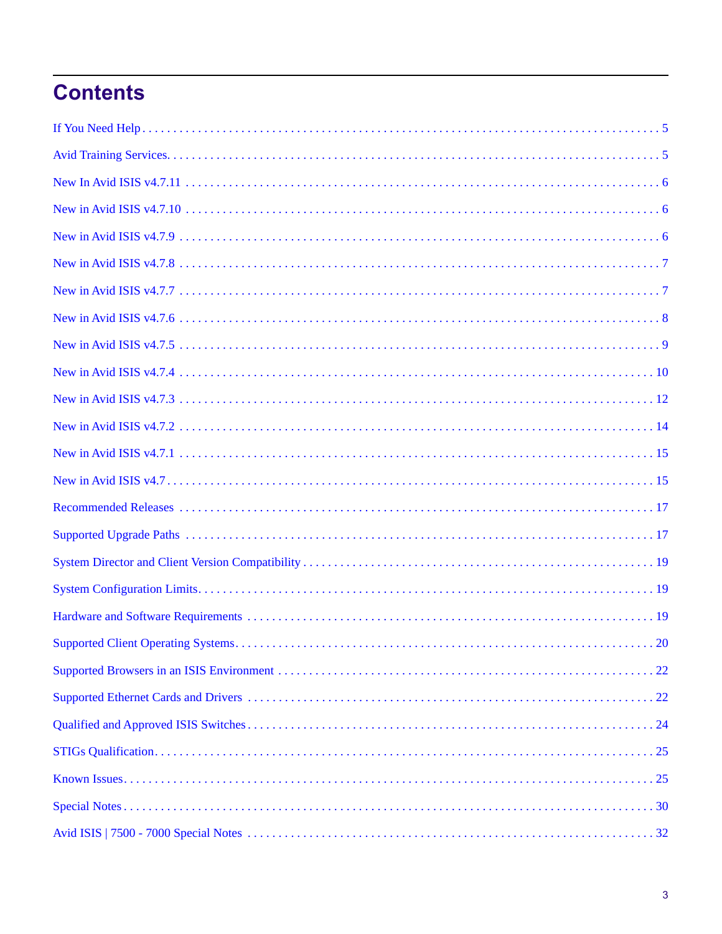# **Contents**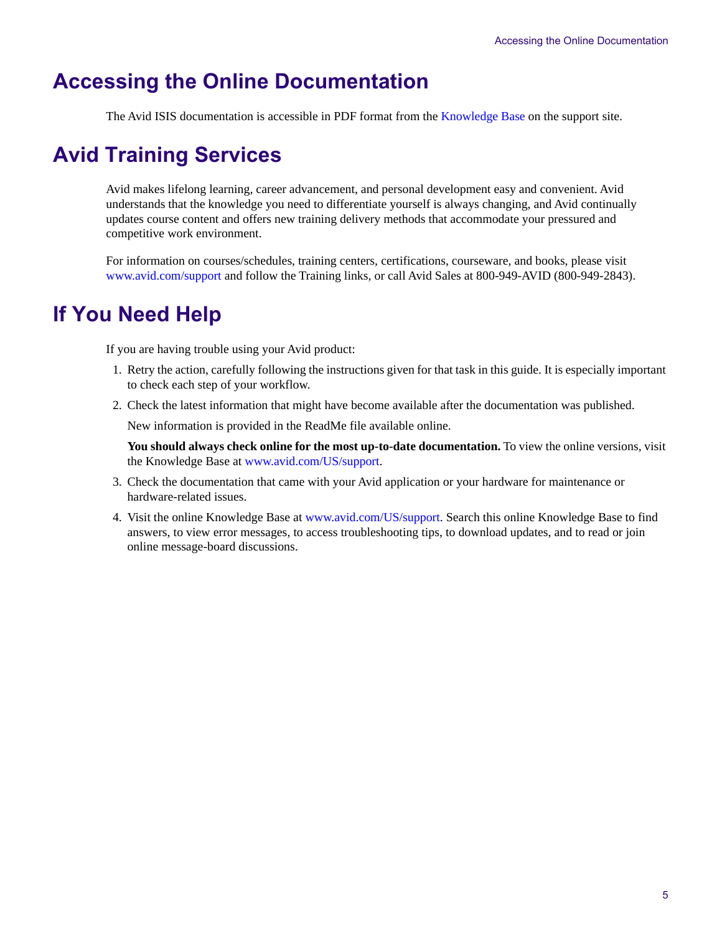## **Accessing the Online Documentation**

The Avid ISIS documentation is accessible in PDF format from the [Knowledge Base](http://avid.force.com/pkb/articles/en_US/user_guide/Avid-ISIS-4-7-Documentation) on the support site.

# <span id="page-4-1"></span>**Avid Training Services**

Avid makes lifelong learning, career advancement, and personal development easy and convenient. Avid understands that the knowledge you need to differentiate yourself is always changing, and Avid continually updates course content and offers new training delivery methods that accommodate your pressured and competitive work environment.

For information on courses/schedules, training centers, certifications, courseware, and books, please visi[t](http://www.avid.com/support) [www.avid.com/support](http://www.avid.com/support) and follow the Training links, or call Avid Sales at 800-949-AVID (800-949-2843).

## <span id="page-4-0"></span>**If You Need Help**

If you are having trouble using your Avid product:

- 1. Retry the action, carefully following the instructions given for that task in this guide. It is especially important to check each step of your workflow.
- 2. Check the latest information that might have become available after the documentation was published.

New information is provided in the ReadMe file available online.

**You should always check online for the most up-to-date documentation.** To view the online versions, visit the Knowledge Base at [www.avid.com/US/support.](http://www.avid.com/US/support)

- 3. Check the documentation that came with your Avid application or your hardware for maintenance or hardware-related issues.
- 4. Visit the online Knowledge Base at [www.avid.com/US/support](http://www.avid.com/US/support). Search this online Knowledge Base to find answers, to view error messages, to access troubleshooting tips, to download updates, and to read or join online message-board discussions.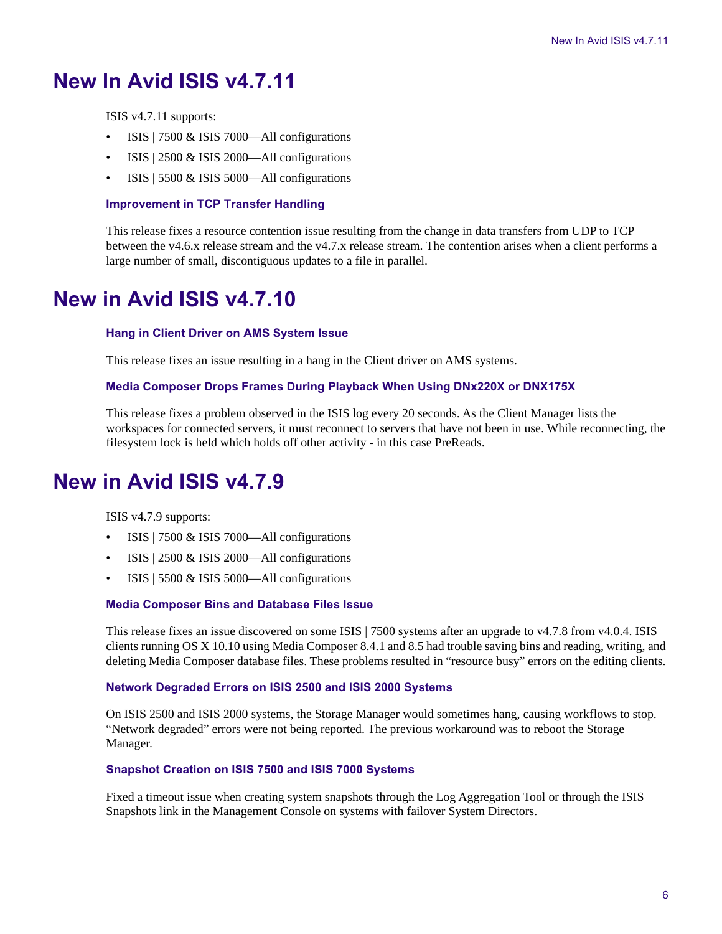# <span id="page-5-0"></span>**New In Avid ISIS v4.7.11**

ISIS v4.7.11 supports:

- ISIS | 7500 & ISIS 7000—All configurations
- ISIS | 2500 & ISIS 2000—All configurations
- ISIS  $| 5500 \&$  ISIS 5000—All configurations

### **Improvement in TCP Transfer Handling**

This release fixes a resource contention issue resulting from the change in data transfers from UDP to TCP between the v4.6.x release stream and the v4.7.x release stream. The contention arises when a client performs a large number of small, discontiguous updates to a file in parallel.

## <span id="page-5-1"></span>**New in Avid ISIS v4.7.10**

### **Hang in Client Driver on AMS System Issue**

This release fixes an issue resulting in a hang in the Client driver on AMS systems.

### **Media Composer Drops Frames During Playback When Using DNx220X or DNX175X**

This release fixes a problem observed in the ISIS log every 20 seconds. As the Client Manager lists the workspaces for connected servers, it must reconnect to servers that have not been in use. While reconnecting, the filesystem lock is held which holds off other activity - in this case PreReads.

## <span id="page-5-2"></span>**New in Avid ISIS v4.7.9**

ISIS v4.7.9 supports:

- ISIS | 7500 & ISIS 7000—All configurations
- ISIS | 2500 & ISIS 2000—All configurations
- ISIS | 5500 & ISIS 5000—All configurations

### **Media Composer Bins and Database Files Issue**

This release fixes an issue discovered on some ISIS | 7500 systems after an upgrade to v4.7.8 from v4.0.4. ISIS clients running OS X 10.10 using Media Composer 8.4.1 and 8.5 had trouble saving bins and reading, writing, and deleting Media Composer database files. These problems resulted in "resource busy" errors on the editing clients.

#### **Network Degraded Errors on ISIS 2500 and ISIS 2000 Systems**

On ISIS 2500 and ISIS 2000 systems, the Storage Manager would sometimes hang, causing workflows to stop. "Network degraded" errors were not being reported. The previous workaround was to reboot the Storage Manager.

### **Snapshot Creation on ISIS 7500 and ISIS 7000 Systems**

Fixed a timeout issue when creating system snapshots through the Log Aggregation Tool or through the ISIS Snapshots link in the Management Console on systems with failover System Directors.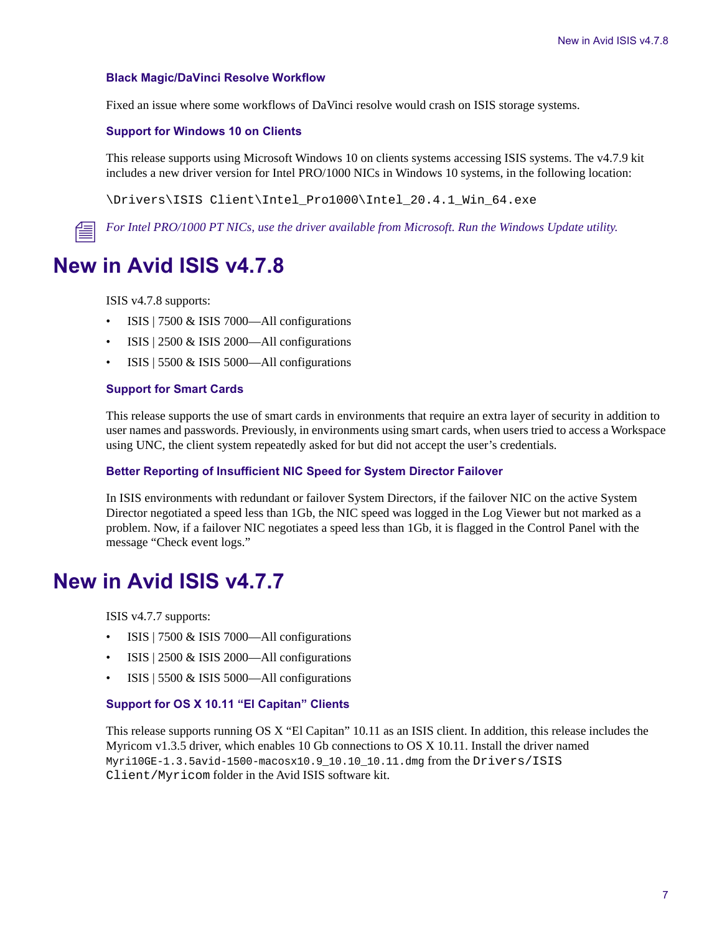### **Black Magic/DaVinci Resolve Workflow**

Fixed an issue where some workflows of DaVinci resolve would crash on ISIS storage systems.

#### **Support for Windows 10 on Clients**

This release supports using Microsoft Windows 10 on clients systems accessing ISIS systems. The v4.7.9 kit includes a new driver version for Intel PRO/1000 NICs in Windows 10 systems, in the following location:

\Drivers\ISIS Client\Intel\_Pro1000\Intel\_20.4.1\_Win\_64.exe



n *For Intel PRO/1000 PT NICs, use the driver available from Microsoft. Run the Windows Update utility.*

## <span id="page-6-0"></span>**New in Avid ISIS v4.7.8**

ISIS v4.7.8 supports:

- ISIS | 7500 & ISIS 7000—All configurations
- ISIS | 2500 & ISIS 2000—All configurations
- ISIS | 5500 & ISIS 5000—All configurations

#### **Support for Smart Cards**

This release supports the use of smart cards in environments that require an extra layer of security in addition to user names and passwords. Previously, in environments using smart cards, when users tried to access a Workspace using UNC, the client system repeatedly asked for but did not accept the user's credentials.

### **Better Reporting of Insufficient NIC Speed for System Director Failover**

In ISIS environments with redundant or failover System Directors, if the failover NIC on the active System Director negotiated a speed less than 1Gb, the NIC speed was logged in the Log Viewer but not marked as a problem. Now, if a failover NIC negotiates a speed less than 1Gb, it is flagged in the Control Panel with the message "Check event logs."

## <span id="page-6-1"></span>**New in Avid ISIS v4.7.7**

ISIS v4.7.7 supports:

- ISIS | 7500 & ISIS 7000—All configurations
- ISIS | 2500 & ISIS 2000—All configurations
- ISIS | 5500 & ISIS 5000—All configurations

#### **Support for OS X 10.11 "El Capitan" Clients**

This release supports running OS X "El Capitan" 10.11 as an ISIS client. In addition, this release includes the Myricom v1.3.5 driver, which enables 10 Gb connections to OS X 10.11. Install the driver named Myri10GE-1.3.5avid-1500-macosx10.9\_10.10\_10.11.dmg from the Drivers/ISIS Client/Myricom folder in the Avid ISIS software kit.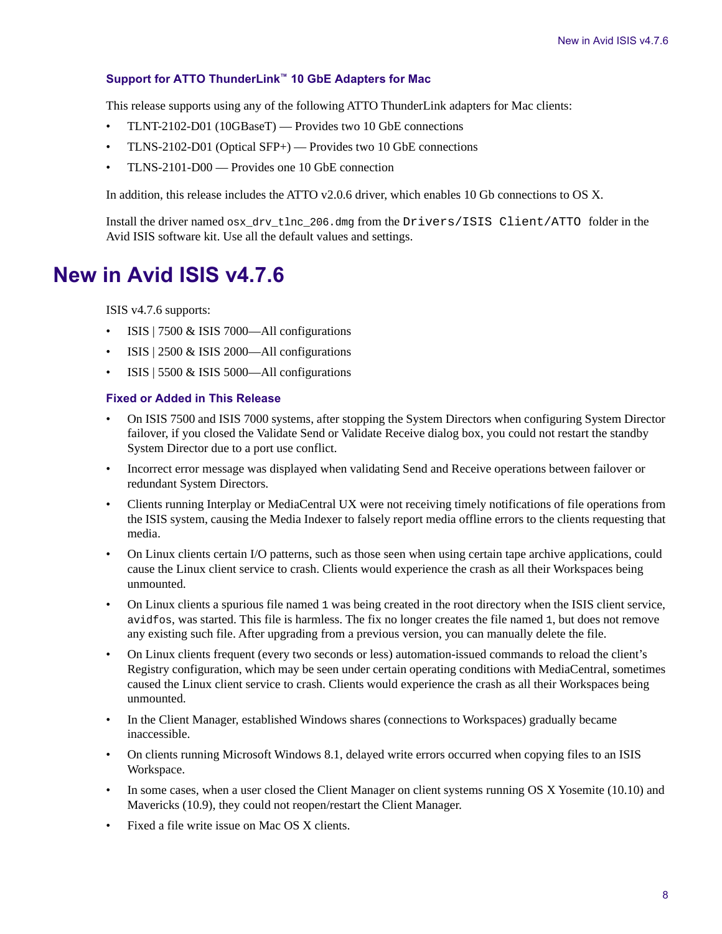### **Support for ATTO ThunderLink™ 10 GbE Adapters for Mac**

This release supports using any of the following ATTO ThunderLink adapters for Mac clients:

- TLNT-2102-D01 (10GBaseT) Provides two 10 GbE connections
- TLNS-2102-D01 (Optical SFP+) Provides two 10 GbE connections
- TLNS-2101-D00 Provides one 10 GbE connection

In addition, this release includes the ATTO v2.0.6 driver, which enables 10 Gb connections to OS X.

Install the driver named osx\_drv\_tlnc\_206.dmg from the Drivers/ISIS Client/ATTO folder in the Avid ISIS software kit. Use all the default values and settings.

## <span id="page-7-0"></span>**New in Avid ISIS v4.7.6**

ISIS v4.7.6 supports:

- ISIS | 7500 & ISIS 7000—All configurations
- ISIS | 2500 & ISIS 2000—All configurations
- ISIS | 5500 & ISIS 5000—All configurations

### **Fixed or Added in This Release**

- On ISIS 7500 and ISIS 7000 systems, after stopping the System Directors when configuring System Director failover, if you closed the Validate Send or Validate Receive dialog box, you could not restart the standby System Director due to a port use conflict.
- Incorrect error message was displayed when validating Send and Receive operations between failover or redundant System Directors.
- Clients running Interplay or MediaCentral UX were not receiving timely notifications of file operations from the ISIS system, causing the Media Indexer to falsely report media offline errors to the clients requesting that media.
- On Linux clients certain I/O patterns, such as those seen when using certain tape archive applications, could cause the Linux client service to crash. Clients would experience the crash as all their Workspaces being unmounted.
- On Linux clients a spurious file named 1 was being created in the root directory when the ISIS client service, avidfos, was started. This file is harmless. The fix no longer creates the file named 1, but does not remove any existing such file. After upgrading from a previous version, you can manually delete the file.
- On Linux clients frequent (every two seconds or less) automation-issued commands to reload the client's Registry configuration, which may be seen under certain operating conditions with MediaCentral, sometimes caused the Linux client service to crash. Clients would experience the crash as all their Workspaces being unmounted.
- In the Client Manager, established Windows shares (connections to Workspaces) gradually became inaccessible.
- On clients running Microsoft Windows 8.1, delayed write errors occurred when copying files to an ISIS Workspace.
- In some cases, when a user closed the Client Manager on client systems running OS X Yosemite (10.10) and Mavericks (10.9), they could not reopen/restart the Client Manager.
- Fixed a file write issue on Mac OS X clients.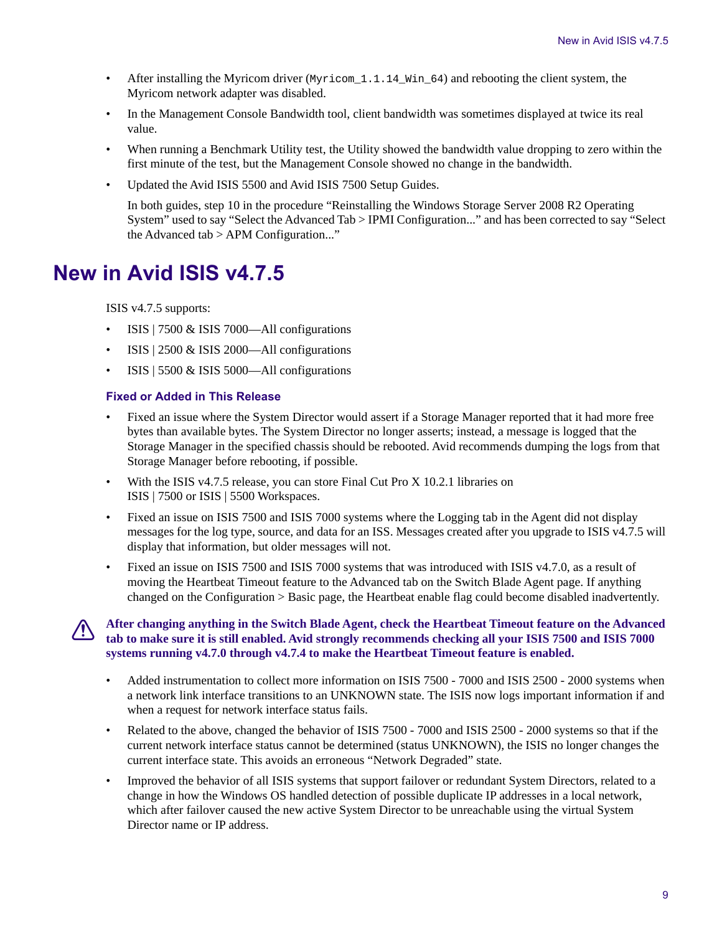- After installing the Myricom driver  $(Myricom_1, 1.14$  Win  $64)$  and rebooting the client system, the Myricom network adapter was disabled.
- In the Management Console Bandwidth tool, client bandwidth was sometimes displayed at twice its real value.
- When running a Benchmark Utility test, the Utility showed the bandwidth value dropping to zero within the first minute of the test, but the Management Console showed no change in the bandwidth.
- Updated the Avid ISIS 5500 and Avid ISIS 7500 Setup Guides.

In both guides, step 10 in the procedure "Reinstalling the Windows Storage Server 2008 R2 Operating System" used to say "Select the Advanced Tab > IPMI Configuration..." and has been corrected to say "Select the Advanced tab > APM Configuration..."

# <span id="page-8-0"></span>**New in Avid ISIS v4.7.5**

ISIS v4.7.5 supports:

- ISIS | 7500 & ISIS 7000—All configurations
- ISIS | 2500 & ISIS 2000—All configurations
- ISIS | 5500 & ISIS 5000—All configurations

### **Fixed or Added in This Release**

- Fixed an issue where the System Director would assert if a Storage Manager reported that it had more free bytes than available bytes. The System Director no longer asserts; instead, a message is logged that the Storage Manager in the specified chassis should be rebooted. Avid recommends dumping the logs from that Storage Manager before rebooting, if possible.
- With the ISIS v4.7.5 release, you can store Final Cut Pro X 10.2.1 libraries on ISIS | 7500 or ISIS | 5500 Workspaces.
- Fixed an issue on ISIS 7500 and ISIS 7000 systems where the Logging tab in the Agent did not display messages for the log type, source, and data for an ISS. Messages created after you upgrade to ISIS v4.7.5 will display that information, but older messages will not.
- Fixed an issue on ISIS 7500 and ISIS 7000 systems that was introduced with ISIS v4.7.0, as a result of moving the Heartbeat Timeout feature to the Advanced tab on the Switch Blade Agent page. If anything changed on the Configuration > Basic page, the Heartbeat enable flag could become disabled inadvertently.

### c **After changing anything in the Switch Blade Agent, check the Heartbeat Timeout feature on the Advanced tab to make sure it is still enabled. Avid strongly recommends checking all your ISIS 7500 and ISIS 7000 systems running v4.7.0 through v4.7.4 to make the Heartbeat Timeout feature is enabled.**

- Added instrumentation to collect more information on ISIS 7500 7000 and ISIS 2500 2000 systems when a network link interface transitions to an UNKNOWN state. The ISIS now logs important information if and when a request for network interface status fails.
- Related to the above, changed the behavior of ISIS 7500 7000 and ISIS 2500 2000 systems so that if the current network interface status cannot be determined (status UNKNOWN), the ISIS no longer changes the current interface state. This avoids an erroneous "Network Degraded" state.
- Improved the behavior of all ISIS systems that support failover or redundant System Directors, related to a change in how the Windows OS handled detection of possible duplicate IP addresses in a local network, which after failover caused the new active System Director to be unreachable using the virtual System Director name or IP address.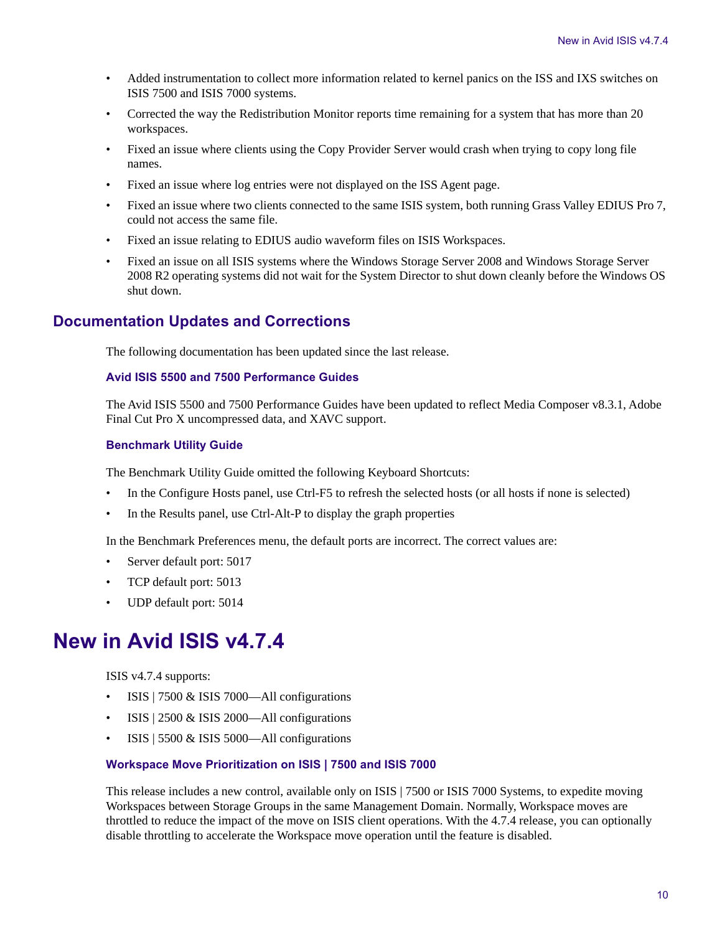- Added instrumentation to collect more information related to kernel panics on the ISS and IXS switches on ISIS 7500 and ISIS 7000 systems.
- Corrected the way the Redistribution Monitor reports time remaining for a system that has more than 20 workspaces.
- Fixed an issue where clients using the Copy Provider Server would crash when trying to copy long file names.
- Fixed an issue where log entries were not displayed on the ISS Agent page.
- Fixed an issue where two clients connected to the same ISIS system, both running Grass Valley EDIUS Pro 7, could not access the same file.
- Fixed an issue relating to EDIUS audio waveform files on ISIS Workspaces.
- Fixed an issue on all ISIS systems where the Windows Storage Server 2008 and Windows Storage Server 2008 R2 operating systems did not wait for the System Director to shut down cleanly before the Windows OS shut down.

## **Documentation Updates and Corrections**

The following documentation has been updated since the last release.

### **Avid ISIS 5500 and 7500 Performance Guides**

The Avid ISIS 5500 and 7500 Performance Guides have been updated to reflect Media Composer v8.3.1, Adobe Final Cut Pro X uncompressed data, and XAVC support.

### **Benchmark Utility Guide**

The Benchmark Utility Guide omitted the following Keyboard Shortcuts:

- In the Configure Hosts panel, use Ctrl-F5 to refresh the selected hosts (or all hosts if none is selected)
- In the Results panel, use Ctrl-Alt-P to display the graph properties

In the Benchmark Preferences menu, the default ports are incorrect. The correct values are:

- Server default port: 5017
- TCP default port: 5013
- UDP default port: 5014

## <span id="page-9-0"></span>**New in Avid ISIS v4.7.4**

ISIS v4.7.4 supports:

- ISIS | 7500 & ISIS 7000—All configurations
- ISIS | 2500 & ISIS 2000—All configurations
- ISIS | 5500 & ISIS 5000—All configurations

### **Workspace Move Prioritization on ISIS | 7500 and ISIS 7000**

This release includes a new control, available only on ISIS | 7500 or ISIS 7000 Systems, to expedite moving Workspaces between Storage Groups in the same Management Domain. Normally, Workspace moves are throttled to reduce the impact of the move on ISIS client operations. With the 4.7.4 release, you can optionally disable throttling to accelerate the Workspace move operation until the feature is disabled.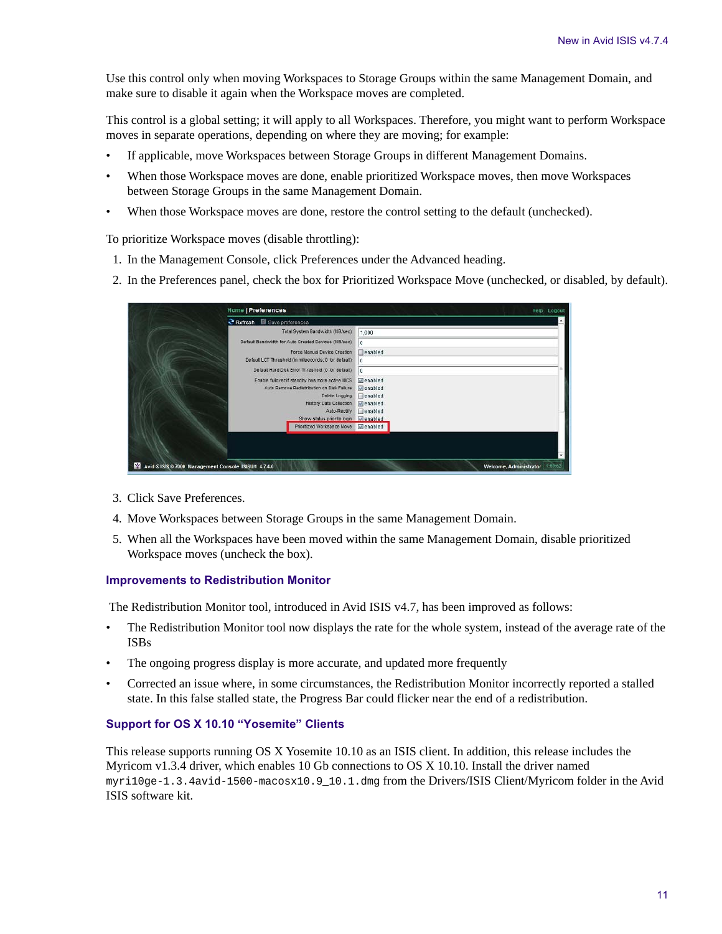Use this control only when moving Workspaces to Storage Groups within the same Management Domain, and make sure to disable it again when the Workspace moves are completed.

This control is a global setting; it will apply to all Workspaces. Therefore, you might want to perform Workspace moves in separate operations, depending on where they are moving; for example:

- If applicable, move Workspaces between Storage Groups in different Management Domains.
- When those Workspace moves are done, enable prioritized Workspace moves, then move Workspaces between Storage Groups in the same Management Domain.
- When those Workspace moves are done, restore the control setting to the default (unchecked).

To prioritize Workspace moves (disable throttling):

- 1. In the Management Console, click Preferences under the Advanced heading.
- 2. In the Preferences panel, check the box for Prioritized Workspace Move (unchecked, or disabled, by default).

| Home   Preferences                                                                                                                                                                                                                                                                                                                                                                                                                              | Help Logout                                                                                       |
|-------------------------------------------------------------------------------------------------------------------------------------------------------------------------------------------------------------------------------------------------------------------------------------------------------------------------------------------------------------------------------------------------------------------------------------------------|---------------------------------------------------------------------------------------------------|
| Refresh <b>B</b> Save preferences                                                                                                                                                                                                                                                                                                                                                                                                               |                                                                                                   |
| Total System Bandwidth (MB/sec)<br>Default Bandwidth for Auto Created Devices (MB/sec)<br>Force Manual Device Creation<br>Default LCT Threshold (in milseconds, 0 for default)<br>Default Hard Disk Error Threshold (0 for default)<br>Enable failover if standby has more active NICS<br>Auto Remove Redistribution on Disk Failure<br>Delete Logging<br><b>History Data Collection</b><br>Auto-Rectify<br>Show status prior to login Menabled | 1,000<br>0<br>enabled<br>0<br>i0.<br><b>Menabled</b><br>enabled<br>enabled<br>enabled<br>Tenabled |
| Prioritized Workspace Move                                                                                                                                                                                                                                                                                                                                                                                                                      | enabled                                                                                           |
| Avid © ISIS © 7000 Management Console ISISUI1 4.7.4.0                                                                                                                                                                                                                                                                                                                                                                                           | Welcome, Administrator                                                                            |

- 3. Click Save Preferences.
- 4. Move Workspaces between Storage Groups in the same Management Domain.
- 5. When all the Workspaces have been moved within the same Management Domain, disable prioritized Workspace moves (uncheck the box).

#### **Improvements to Redistribution Monitor**

The Redistribution Monitor tool, introduced in Avid ISIS v4.7, has been improved as follows:

- The Redistribution Monitor tool now displays the rate for the whole system, instead of the average rate of the ISBs
- The ongoing progress display is more accurate, and updated more frequently
- Corrected an issue where, in some circumstances, the Redistribution Monitor incorrectly reported a stalled state. In this false stalled state, the Progress Bar could flicker near the end of a redistribution.

### **Support for OS X 10.10 "Yosemite" Clients**

This release supports running OS X Yosemite 10.10 as an ISIS client. In addition, this release includes the Myricom v1.3.4 driver, which enables 10 Gb connections to OS X 10.10. Install the driver named myri10ge-1.3.4avid-1500-macosx10.9\_10.1.dmg from the Drivers/ISIS Client/Myricom folder in the Avid ISIS software kit.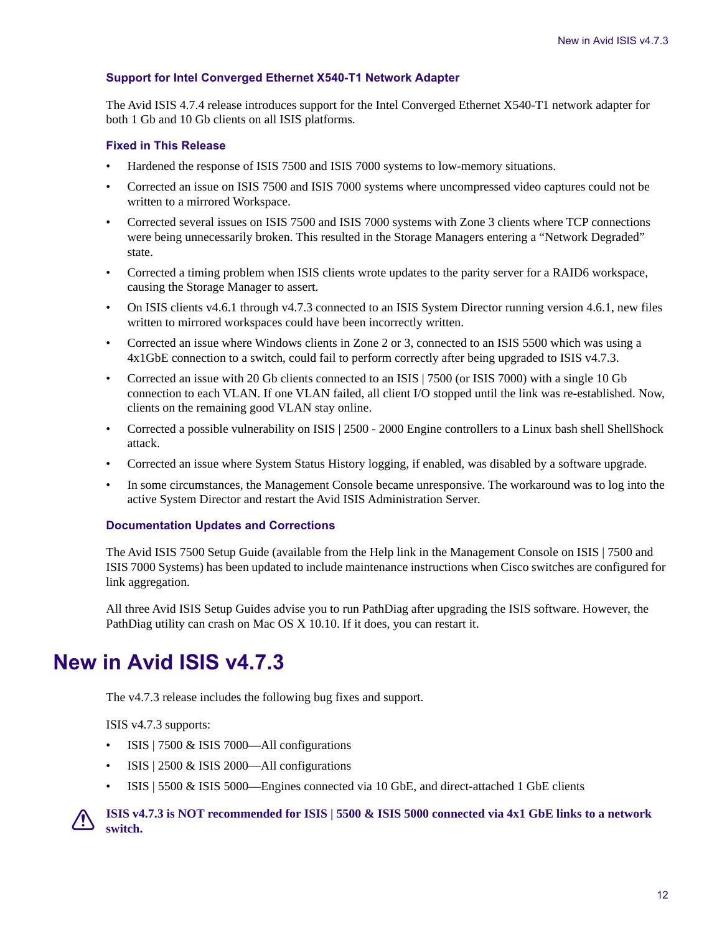### **Support for Intel Converged Ethernet X540-T1 Network Adapter**

The Avid ISIS 4.7.4 release introduces support for the Intel Converged Ethernet X540-T1 network adapter for both 1 Gb and 10 Gb clients on all ISIS platforms.

### **Fixed in This Release**

- Hardened the response of ISIS 7500 and ISIS 7000 systems to low-memory situations.
- Corrected an issue on ISIS 7500 and ISIS 7000 systems where uncompressed video captures could not be written to a mirrored Workspace.
- Corrected several issues on ISIS 7500 and ISIS 7000 systems with Zone 3 clients where TCP connections were being unnecessarily broken. This resulted in the Storage Managers entering a "Network Degraded" state.
- Corrected a timing problem when ISIS clients wrote updates to the parity server for a RAID6 workspace, causing the Storage Manager to assert.
- On ISIS clients v4.6.1 through v4.7.3 connected to an ISIS System Director running version 4.6.1, new files written to mirrored workspaces could have been incorrectly written.
- Corrected an issue where Windows clients in Zone 2 or 3, connected to an ISIS 5500 which was using a 4x1GbE connection to a switch, could fail to perform correctly after being upgraded to ISIS v4.7.3.
- Corrected an issue with 20 Gb clients connected to an ISIS | 7500 (or ISIS 7000) with a single 10 Gb connection to each VLAN. If one VLAN failed, all client I/O stopped until the link was re-established. Now, clients on the remaining good VLAN stay online.
- Corrected a possible vulnerability on ISIS | 2500 2000 Engine controllers to a Linux bash shell ShellShock attack.
- Corrected an issue where System Status History logging, if enabled, was disabled by a software upgrade.
- In some circumstances, the Management Console became unresponsive. The workaround was to log into the active System Director and restart the Avid ISIS Administration Server.

### **Documentation Updates and Corrections**

The Avid ISIS 7500 Setup Guide (available from the Help link in the Management Console on ISIS | 7500 and ISIS 7000 Systems) has been updated to include maintenance instructions when Cisco switches are configured for link aggregation.

All three Avid ISIS Setup Guides advise you to run PathDiag after upgrading the ISIS software. However, the PathDiag utility can crash on Mac OS X 10.10. If it does, you can restart it.

## <span id="page-11-0"></span>**New in Avid ISIS v4.7.3**

The v4.7.3 release includes the following bug fixes and support.

ISIS v4.7.3 supports:

- ISIS | 7500 & ISIS 7000—All configurations
- ISIS | 2500 & ISIS 2000—All configurations
- ISIS | 5500 & ISIS 5000—Engines connected via 10 GbE, and direct-attached 1 GbE clients



### c **ISIS v4.7.3 is NOT recommended for ISIS | 5500 & ISIS 5000 connected via 4x1 GbE links to a network switch.**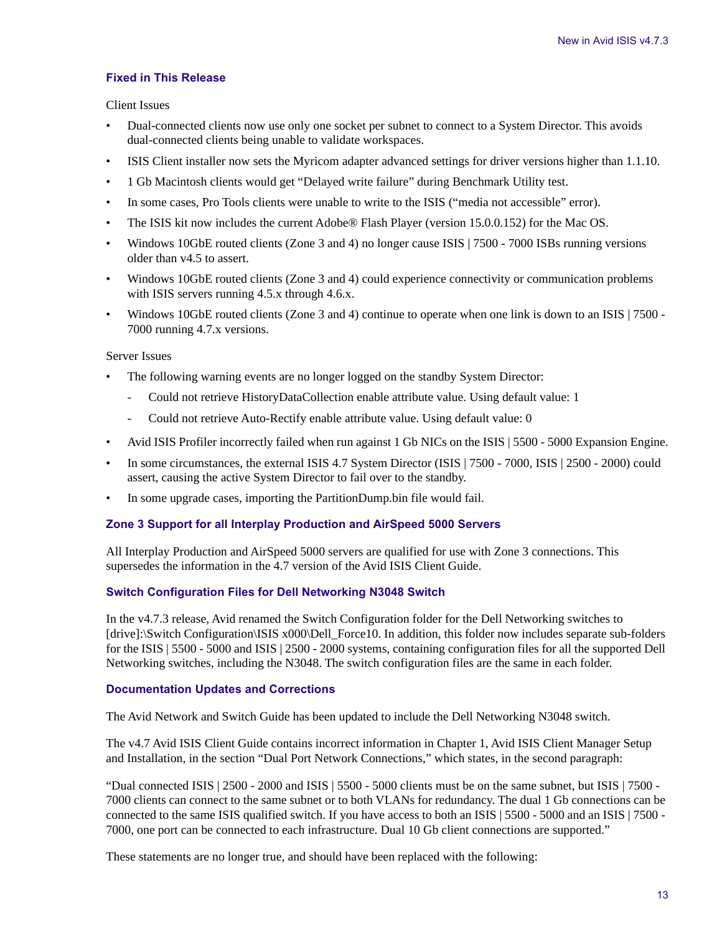### **Fixed in This Release**

Client Issues

- Dual-connected clients now use only one socket per subnet to connect to a System Director. This avoids dual-connected clients being unable to validate workspaces.
- ISIS Client installer now sets the Myricom adapter advanced settings for driver versions higher than 1.1.10.
- 1 Gb Macintosh clients would get "Delayed write failure" during Benchmark Utility test.
- In some cases, Pro Tools clients were unable to write to the ISIS ("media not accessible" error).
- The ISIS kit now includes the current Adobe<sup>®</sup> Flash Player (version 15.0.0.152) for the Mac OS.
- Windows 10GbE routed clients (Zone 3 and 4) no longer cause ISIS | 7500 7000 ISBs running versions older than v4.5 to assert.
- Windows 10GbE routed clients (Zone 3 and 4) could experience connectivity or communication problems with ISIS servers running 4.5.x through 4.6.x.
- Windows 10GbE routed clients (Zone 3 and 4) continue to operate when one link is down to an ISIS | 7500 7000 running 4.7.x versions.

### Server Issues

- The following warning events are no longer logged on the standby System Director:
	- Could not retrieve HistoryDataCollection enable attribute value. Using default value: 1
	- Could not retrieve Auto-Rectify enable attribute value. Using default value: 0
- Avid ISIS Profiler incorrectly failed when run against 1 Gb NICs on the ISIS | 5500 5000 Expansion Engine.
- In some circumstances, the external ISIS 4.7 System Director (ISIS | 7500 7000, ISIS | 2500 2000) could assert, causing the active System Director to fail over to the standby.
- In some upgrade cases, importing the PartitionDump.bin file would fail.

### **Zone 3 Support for all Interplay Production and AirSpeed 5000 Servers**

All Interplay Production and AirSpeed 5000 servers are qualified for use with Zone 3 connections. This supersedes the information in the 4.7 version of the Avid ISIS Client Guide.

### **Switch Configuration Files for Dell Networking N3048 Switch**

In the v4.7.3 release, Avid renamed the Switch Configuration folder for the Dell Networking switches to [drive]:\Switch Configuration\ISIS x000\Dell\_Force10. In addition, this folder now includes separate sub-folders for the ISIS | 5500 - 5000 and ISIS | 2500 - 2000 systems, containing configuration files for all the supported Dell Networking switches, including the N3048. The switch configuration files are the same in each folder.

### **Documentation Updates and Corrections**

The Avid Network and Switch Guide has been updated to include the Dell Networking N3048 switch.

The v4.7 Avid ISIS Client Guide contains incorrect information in Chapter 1, Avid ISIS Client Manager Setup and Installation, in the section "Dual Port Network Connections," which states, in the second paragraph:

"Dual connected ISIS | 2500 - 2000 and ISIS | 5500 - 5000 clients must be on the same subnet, but ISIS | 7500 - 7000 clients can connect to the same subnet or to both VLANs for redundancy. The dual 1 Gb connections can be connected to the same ISIS qualified switch. If you have access to both an ISIS | 5500 - 5000 and an ISIS | 7500 - 7000, one port can be connected to each infrastructure. Dual 10 Gb client connections are supported."

These statements are no longer true, and should have been replaced with the following: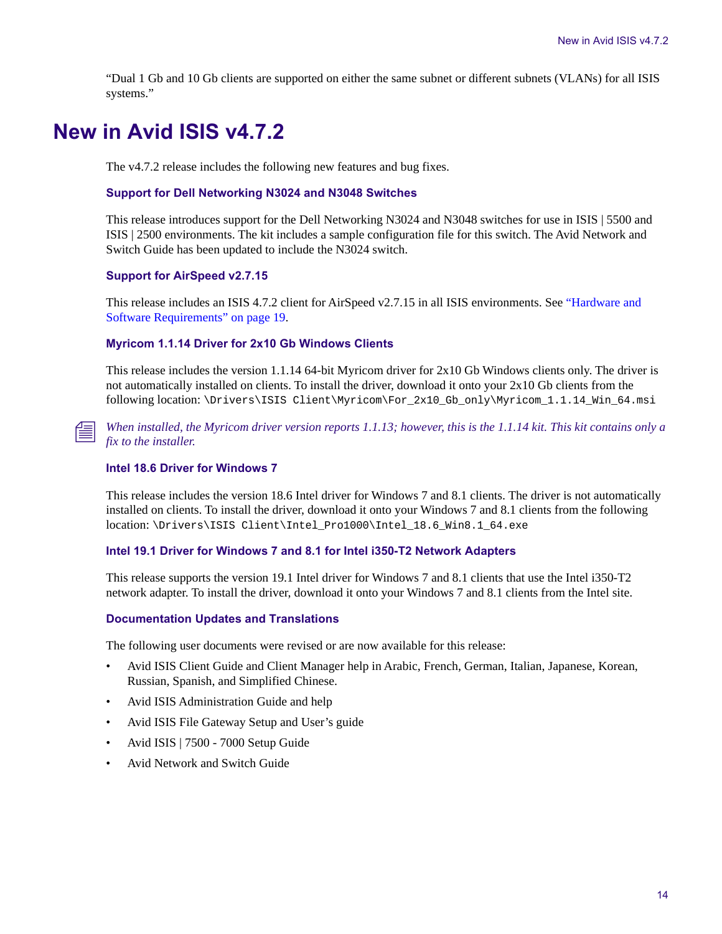"Dual 1 Gb and 10 Gb clients are supported on either the same subnet or different subnets (VLANs) for all ISIS systems."

## <span id="page-13-0"></span>**New in Avid ISIS v4.7.2**

The v4.7.2 release includes the following new features and bug fixes.

### **Support for Dell Networking N3024 and N3048 Switches**

This release introduces support for the Dell Networking N3024 and N3048 switches for use in ISIS | 5500 and ISIS | 2500 environments. The kit includes a sample configuration file for this switch. The Avid Network and Switch Guide has been updated to include the N3024 switch.

### **Support for AirSpeed v2.7.15**

This release includes an ISIS 4.7.2 client for AirSpeed v2.7.15 in all ISIS environments. See ["Hardware and](#page-18-1)  [Software Requirements" on page 19](#page-18-1).

### **Myricom 1.1.14 Driver for 2x10 Gb Windows Clients**

This release includes the version 1.1.14 64-bit Myricom driver for 2x10 Gb Windows clients only. The driver is not automatically installed on clients. To install the driver, download it onto your 2x10 Gb clients from the following location: \Drivers\ISIS Client\Myricom\For\_2x10\_Gb\_only\Myricom\_1.1.14\_Win\_64.msi

When installed, the Myricom driver version reports 1.1.13; however, this is the 1.1.14 kit. This kit contains only a *fix to the installer.*

### **Intel 18.6 Driver for Windows 7**

This release includes the version 18.6 Intel driver for Windows 7 and 8.1 clients. The driver is not automatically installed on clients. To install the driver, download it onto your Windows 7 and 8.1 clients from the following location: \Drivers\ISIS Client\Intel\_Pro1000\Intel\_18.6\_Win8.1\_64.exe

#### **Intel 19.1 Driver for Windows 7 and 8.1 for Intel i350-T2 Network Adapters**

This release supports the version 19.1 Intel driver for Windows 7 and 8.1 clients that use the Intel i350-T2 network adapter. To install the driver, download it onto your Windows 7 and 8.1 clients from the Intel site.

#### **Documentation Updates and Translations**

The following user documents were revised or are now available for this release:

- Avid ISIS Client Guide and Client Manager help in Arabic, French, German, Italian, Japanese, Korean, Russian, Spanish, and Simplified Chinese.
- Avid ISIS Administration Guide and help
- Avid ISIS File Gateway Setup and User's guide
- Avid ISIS | 7500 7000 Setup Guide
- Avid Network and Switch Guide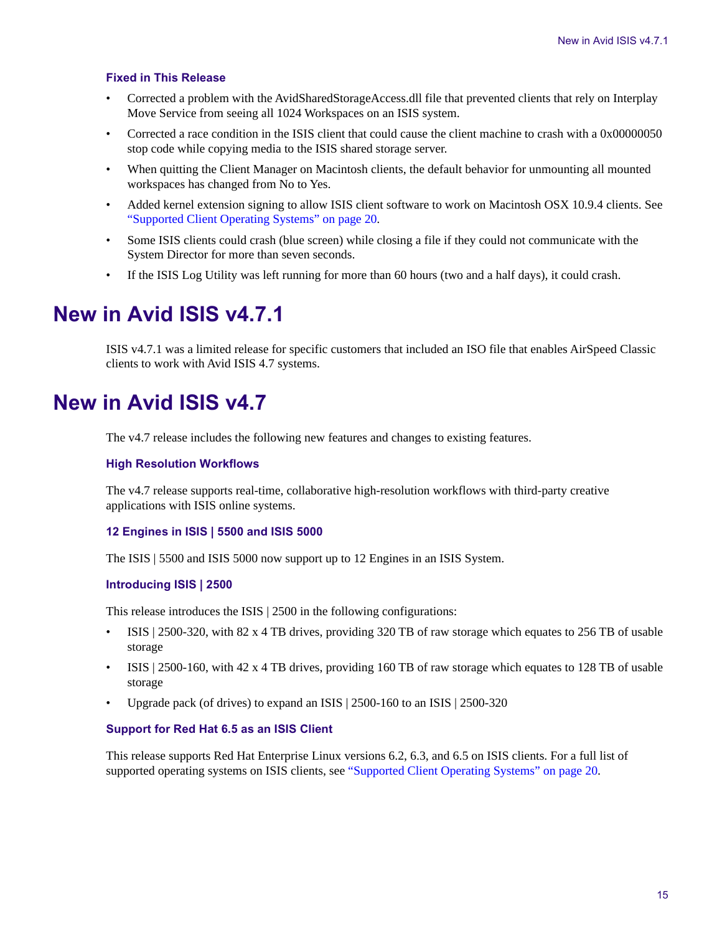### **Fixed in This Release**

- Corrected a problem with the AvidSharedStorageAccess.dll file that prevented clients that rely on Interplay Move Service from seeing all 1024 Workspaces on an ISIS system.
- Corrected a race condition in the ISIS client that could cause the client machine to crash with a 0x00000050 stop code while copying media to the ISIS shared storage server.
- When quitting the Client Manager on Macintosh clients, the default behavior for unmounting all mounted workspaces has changed from No to Yes.
- Added kernel extension signing to allow ISIS client software to work on Macintosh OSX 10.9.4 clients. See ["Supported Client Operating Systems" on page 20.](#page-19-0)
- Some ISIS clients could crash (blue screen) while closing a file if they could not communicate with the System Director for more than seven seconds.
- If the ISIS Log Utility was left running for more than 60 hours (two and a half days), it could crash.

## <span id="page-14-1"></span>**New in Avid ISIS v4.7.1**

ISIS v4.7.1 was a limited release for specific customers that included an ISO file that enables AirSpeed Classic clients to work with Avid ISIS 4.7 systems.

## <span id="page-14-0"></span>**New in Avid ISIS v4.7**

The v4.7 release includes the following new features and changes to existing features.

#### **High Resolution Workflows**

The v4.7 release supports real-time, collaborative high-resolution workflows with third-party creative applications with ISIS online systems.

### **12 Engines in ISIS | 5500 and ISIS 5000**

The ISIS | 5500 and ISIS 5000 now support up to 12 Engines in an ISIS System.

### **Introducing ISIS | 2500**

This release introduces the ISIS | 2500 in the following configurations:

- ISIS | 2500-320, with 82 x 4 TB drives, providing 320 TB of raw storage which equates to 256 TB of usable storage
- ISIS | 2500-160, with 42 x 4 TB drives, providing 160 TB of raw storage which equates to 128 TB of usable storage
- Upgrade pack (of drives) to expand an ISIS | 2500-160 to an ISIS | 2500-320

### **Support for Red Hat 6.5 as an ISIS Client**

This release supports Red Hat Enterprise Linux versions 6.2, 6.3, and 6.5 on ISIS clients. For a full list of supported operating systems on ISIS clients, see ["Supported Client Operating Systems" on page 20.](#page-19-0)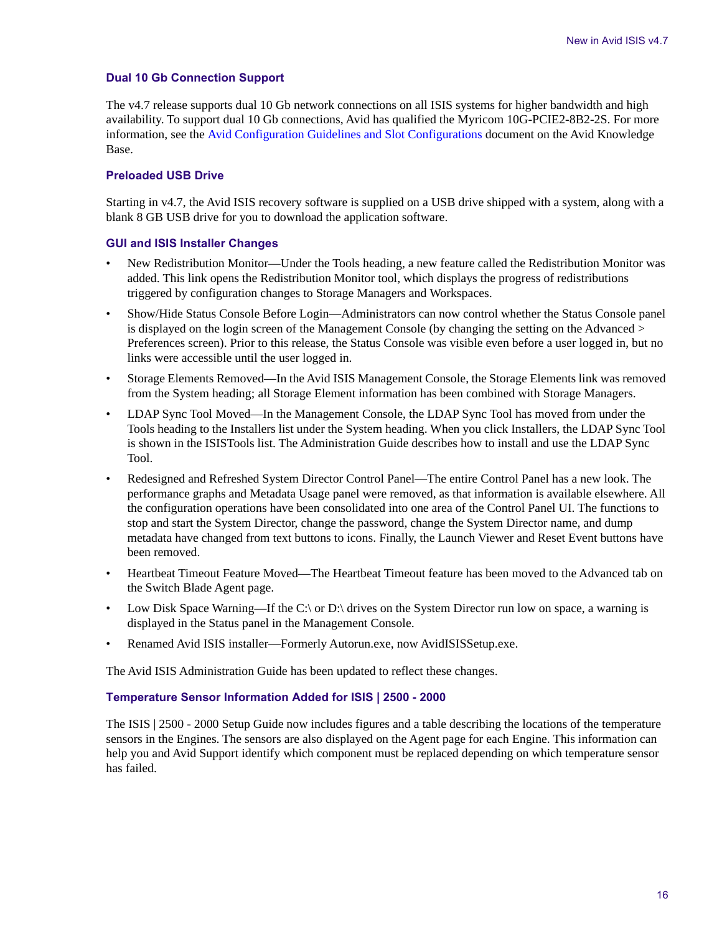### <span id="page-15-0"></span>**Dual 10 Gb Connection Support**

The v4.7 release supports dual 10 Gb network connections on all ISIS systems for higher bandwidth and high availability. To support dual 10 Gb connections, Avid has qualified the Myricom 10G-PCIE2-8B2-2S. For more information, see the [Avid Configuration Guidelines and Slot Configurations](http://avid.force.com/pkb/articles/en_US/user_guide/en269631) document on the Avid Knowledge Base.

### **Preloaded USB Drive**

Starting in v4.7, the Avid ISIS recovery software is supplied on a USB drive shipped with a system, along with a blank 8 GB USB drive for you to download the application software.

#### **GUI and ISIS Installer Changes**

- New Redistribution Monitor—Under the Tools heading, a new feature called the Redistribution Monitor was added. This link opens the Redistribution Monitor tool, which displays the progress of redistributions triggered by configuration changes to Storage Managers and Workspaces.
- Show/Hide Status Console Before Login—Administrators can now control whether the Status Console panel is displayed on the login screen of the Management Console (by changing the setting on the Advanced > Preferences screen). Prior to this release, the Status Console was visible even before a user logged in, but no links were accessible until the user logged in.
- Storage Elements Removed—In the Avid ISIS Management Console, the Storage Elements link was removed from the System heading; all Storage Element information has been combined with Storage Managers.
- LDAP Sync Tool Moved—In the Management Console, the LDAP Sync Tool has moved from under the Tools heading to the Installers list under the System heading. When you click Installers, the LDAP Sync Tool is shown in the ISISTools list. The Administration Guide describes how to install and use the LDAP Sync Tool.
- Redesigned and Refreshed System Director Control Panel—The entire Control Panel has a new look. The performance graphs and Metadata Usage panel were removed, as that information is available elsewhere. All the configuration operations have been consolidated into one area of the Control Panel UI. The functions to stop and start the System Director, change the password, change the System Director name, and dump metadata have changed from text buttons to icons. Finally, the Launch Viewer and Reset Event buttons have been removed.
- Heartbeat Timeout Feature Moved—The Heartbeat Timeout feature has been moved to the Advanced tab on the Switch Blade Agent page.
- Low Disk Space Warning—If the C:\ or D:\ drives on the System Director run low on space, a warning is displayed in the Status panel in the Management Console.
- Renamed Avid ISIS installer—Formerly Autorun.exe, now AvidISISSetup.exe.

The Avid ISIS Administration Guide has been updated to reflect these changes.

### **Temperature Sensor Information Added for ISIS | 2500 - 2000**

The ISIS | 2500 - 2000 Setup Guide now includes figures and a table describing the locations of the temperature sensors in the Engines. The sensors are also displayed on the Agent page for each Engine. This information can help you and Avid Support identify which component must be replaced depending on which temperature sensor has failed.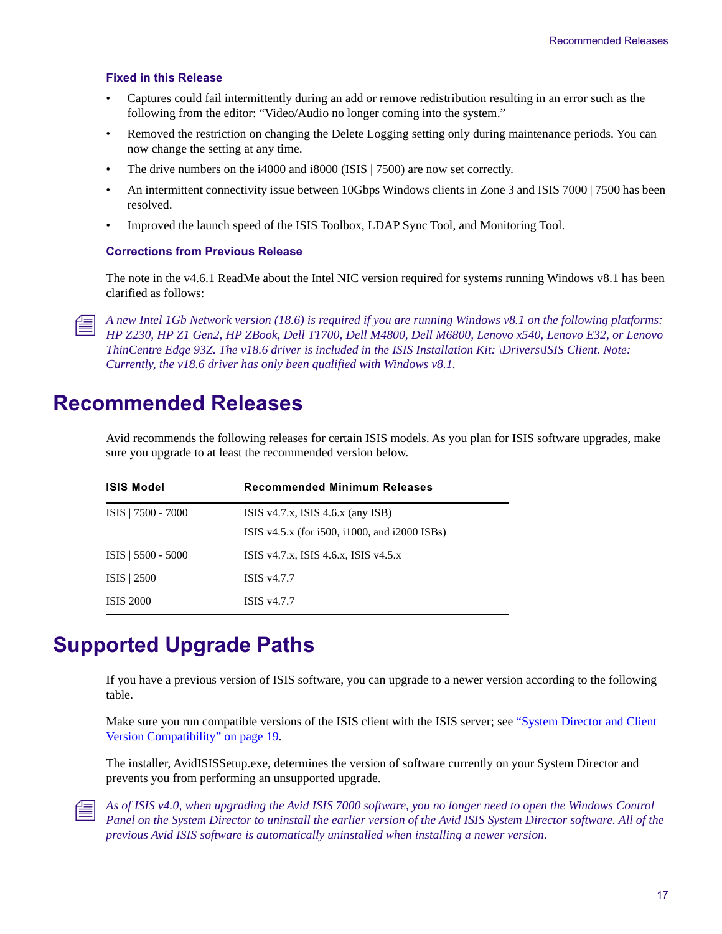#### **Fixed in this Release**

- Captures could fail intermittently during an add or remove redistribution resulting in an error such as the following from the editor: "Video/Audio no longer coming into the system."
- Removed the restriction on changing the Delete Logging setting only during maintenance periods. You can now change the setting at any time.
- The drive numbers on the i4000 and i8000 (ISIS | 7500) are now set correctly.
- An intermittent connectivity issue between 10Gbps Windows clients in Zone 3 and ISIS 7000 | 7500 has been resolved.
- Improved the launch speed of the ISIS Toolbox, LDAP Sync Tool, and Monitoring Tool.

### **Corrections from Previous Release**

The note in the v4.6.1 ReadMe about the Intel NIC version required for systems running Windows v8.1 has been clarified as follows:



n *A new Intel 1Gb Network version (18.6) is required if you are running Windows v8.1 on the following platforms: HP Z230, HP Z1 Gen2, HP ZBook, Dell T1700, Dell M4800, Dell M6800, Lenovo x540, Lenovo E32, or Lenovo ThinCentre Edge 93Z. The v18.6 driver is included in the ISIS Installation Kit: \Drivers\ISIS Client. Note: Currently, the v18.6 driver has only been qualified with Windows v8.1.*

## <span id="page-16-0"></span>**Recommended Releases**

Avid recommends the following releases for certain ISIS models. As you plan for ISIS software upgrades, make sure you upgrade to at least the recommended version below.

| <b>ISIS Model</b>  | <b>Recommended Minimum Releases</b>           |
|--------------------|-----------------------------------------------|
| ISIS   7500 - 7000 | ISIS $v4.7.x$ , ISIS $4.6.x$ (any ISB)        |
|                    | ISIS v4.5.x (for i500, i1000, and i2000 ISBs) |
| ISIS   5500 - 5000 | ISIS $v4.7.x$ , ISIS 4.6.x, ISIS $v4.5.x$     |
| $ISIS$   2500      | ISIS $v4.7.7$                                 |
| <b>ISIS 2000</b>   | ISIS $v4.7.7$                                 |

## <span id="page-16-1"></span>**Supported Upgrade Paths**

If you have a previous version of ISIS software, you can upgrade to a newer version according to the following table.

Make sure you run compatible versions of the ISIS client with the ISIS server; see ["System Director and Client](#page-18-0)  [Version Compatibility" on page 19](#page-18-0).

The installer, AvidISISSetup.exe, determines the version of software currently on your System Director and prevents you from performing an unsupported upgrade.



n *As of ISIS v4.0, when upgrading the Avid ISIS 7000 software, you no longer need to open the Windows Control Panel on the System Director to uninstall the earlier version of the Avid ISIS System Director software. All of the previous Avid ISIS software is automatically uninstalled when installing a newer version.*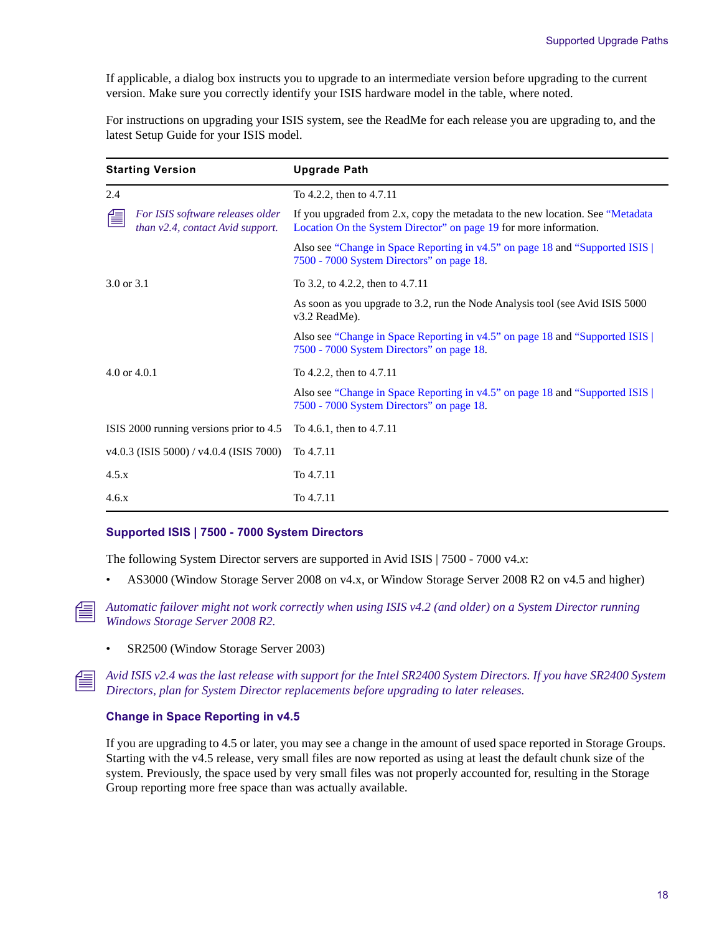If applicable, a dialog box instructs you to upgrade to an intermediate version before upgrading to the current version. Make sure you correctly identify your ISIS hardware model in the table, where noted.

For instructions on upgrading your ISIS system, see the ReadMe for each release you are upgrading to, and the latest Setup Guide for your ISIS model.

| <b>Starting Version</b>                                                   | <b>Upgrade Path</b>                                                                                                                                  |  |  |
|---------------------------------------------------------------------------|------------------------------------------------------------------------------------------------------------------------------------------------------|--|--|
| 2.4                                                                       | To 4.2.2, then to 4.7.11                                                                                                                             |  |  |
| For ISIS software releases older<br>偟<br>than v2.4, contact Avid support. | If you upgraded from 2.x, copy the metadata to the new location. See "Metadata"<br>Location On the System Director" on page 19 for more information. |  |  |
|                                                                           | Also see "Change in Space Reporting in v4.5" on page 18 and "Supported ISIS  <br>7500 - 7000 System Directors" on page 18.                           |  |  |
| 3.0 or 3.1                                                                | To 3.2, to 4.2.2, then to 4.7.11                                                                                                                     |  |  |
|                                                                           | As soon as you upgrade to 3.2, run the Node Analysis tool (see Avid ISIS 5000<br>v3.2 ReadMe).                                                       |  |  |
|                                                                           | Also see "Change in Space Reporting in v4.5" on page 18 and "Supported ISIS  <br>7500 - 7000 System Directors" on page 18.                           |  |  |
| $4.0 \text{ or } 4.0.1$                                                   | To 4.2.2, then to 4.7.11                                                                                                                             |  |  |
|                                                                           | Also see "Change in Space Reporting in v4.5" on page 18 and "Supported ISIS  <br>7500 - 7000 System Directors" on page 18.                           |  |  |
| ISIS 2000 running versions prior to 4.5                                   | To $4.6.1$ , then to $4.7.11$                                                                                                                        |  |  |
| $v4.0.3$ (ISIS 5000) / $v4.0.4$ (ISIS 7000)                               | To 4.7.11                                                                                                                                            |  |  |
| 4.5.x                                                                     | To 4.7.11                                                                                                                                            |  |  |
| 4.6.x                                                                     | To 4.7.11                                                                                                                                            |  |  |

### <span id="page-17-1"></span>**Supported ISIS | 7500 - 7000 System Directors**

The following System Director servers are supported in Avid ISIS | 7500 - 7000 v4.*x*:

• AS3000 (Window Storage Server 2008 on v4.x, or Window Storage Server 2008 R2 on v4.5 and higher)

n *Automatic failover might not work correctly when using ISIS v4.2 (and older) on a System Director running Windows Storage Server 2008 R2.*

• SR2500 (Window Storage Server 2003)



n *Avid ISIS v2.4 was the last release with support for the Intel SR2400 System Directors. If you have SR2400 System Directors, plan for System Director replacements before upgrading to later releases.*

### <span id="page-17-0"></span>**Change in Space Reporting in v4.5**

If you are upgrading to 4.5 or later, you may see a change in the amount of used space reported in Storage Groups. Starting with the v4.5 release, very small files are now reported as using at least the default chunk size of the system. Previously, the space used by very small files was not properly accounted for, resulting in the Storage Group reporting more free space than was actually available.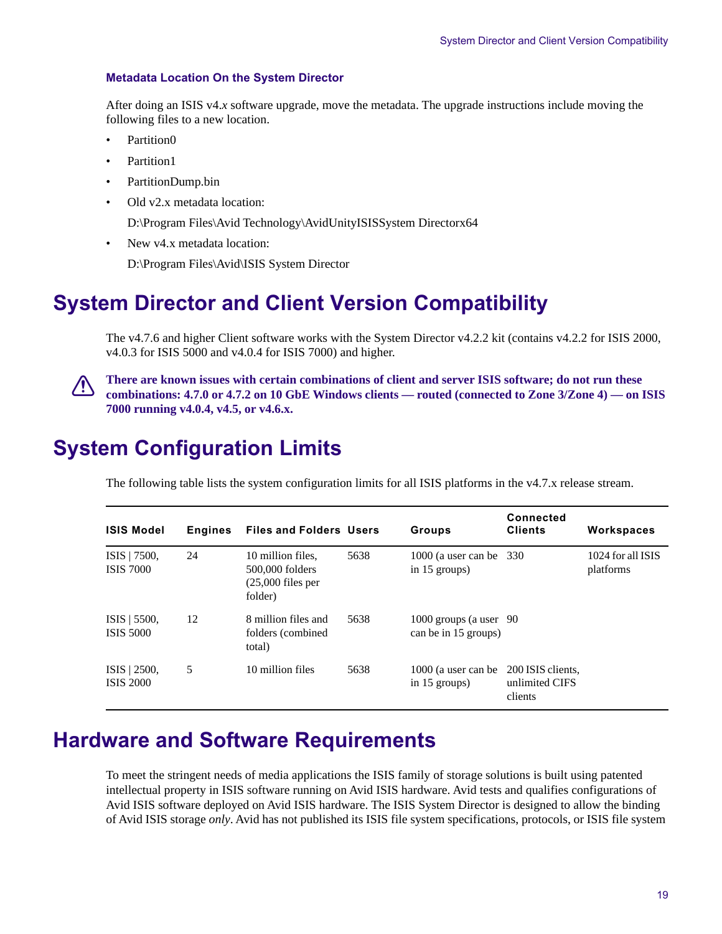### <span id="page-18-3"></span>**Metadata Location On the System Director**

After doing an ISIS v4.*x* software upgrade, move the metadata. The upgrade instructions include moving the following files to a new location.

- Partition<sub>0</sub>
- Partition1
- PartitionDump.bin
- Old v2.x metadata location:

D:\Program Files\Avid Technology\AvidUnityISISSystem Directorx64

• New v4.x metadata location:

D:\Program Files\Avid\ISIS System Director

## <span id="page-18-0"></span>**System Director and Client Version Compatibility**

The v4.7.6 and higher Client software works with the System Director v4.2.2 kit (contains v4.2.2 for ISIS 2000, v4.0.3 for ISIS 5000 and v4.0.4 for ISIS 7000) and higher.

c **There are known issues with certain combinations of client and server ISIS software; do not run these combinations: 4.7.0 or 4.7.2 on 10 GbE Windows clients — routed (connected to Zone 3/Zone 4) — on ISIS 7000 running v4.0.4, v4.5, or v4.6.x.**

## <span id="page-18-2"></span>**System Configuration Limits**

The following table lists the system configuration limits for all ISIS platforms in the v4.7.x release stream.

|                                    |                |                                                                           |      |                                                  | Connected                                      |                                |
|------------------------------------|----------------|---------------------------------------------------------------------------|------|--------------------------------------------------|------------------------------------------------|--------------------------------|
| <b>ISIS Model</b>                  | <b>Engines</b> | <b>Files and Folders Users</b>                                            |      | <b>Groups</b>                                    | <b>Clients</b>                                 | <b>Workspaces</b>              |
| $ISIS$   7500,<br><b>ISIS 7000</b> | 24             | 10 million files.<br>$500,000$ folders<br>$(25,000)$ files per<br>folder) | 5638 | $1000$ (a user can be $330$<br>in $15$ groups)   |                                                | 1024 for all ISIS<br>platforms |
| $ISIS$   5500,<br><b>ISIS 5000</b> | 12             | 8 million files and<br>folders (combined)<br>total)                       | 5638 | 1000 groups (a user $90$<br>can be in 15 groups) |                                                |                                |
| ISIS $ 2500,$<br><b>ISIS 2000</b>  | 5              | 10 million files                                                          | 5638 | $1000$ (a user can be<br>in $15$ groups)         | 200 ISIS clients.<br>unlimited CIFS<br>clients |                                |

## <span id="page-18-1"></span>**Hardware and Software Requirements**

To meet the stringent needs of media applications the ISIS family of storage solutions is built using patented intellectual property in ISIS software running on Avid ISIS hardware. Avid tests and qualifies configurations of Avid ISIS software deployed on Avid ISIS hardware. The ISIS System Director is designed to allow the binding of Avid ISIS storage *only*. Avid has not published its ISIS file system specifications, protocols, or ISIS file system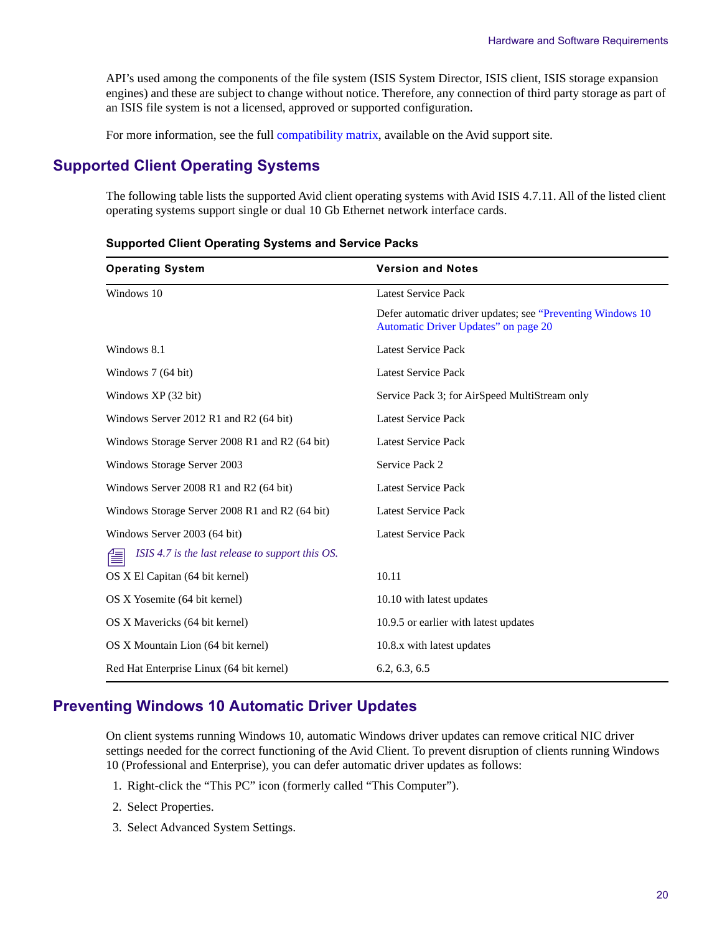API's used among the components of the file system (ISIS System Director, ISIS client, ISIS storage expansion engines) and these are subject to change without notice. Therefore, any connection of third party storage as part of an ISIS file system is not a licensed, approved or supported configuration.

For more information, see the full [compatibility matrix,](http://avid.force.com/pkb/articles/en_US/compatibility/Avid-Video-Compatibility-Charts) available on the Avid support site.

### <span id="page-19-0"></span>**Supported Client Operating Systems**

The following table lists the supported Avid client operating systems with Avid ISIS 4.7.11. All of the listed client operating systems support single or dual 10 Gb Ethernet network interface cards.

| <b>Operating System</b>                          | <b>Version and Notes</b>                                                                           |
|--------------------------------------------------|----------------------------------------------------------------------------------------------------|
| Windows 10                                       | Latest Service Pack                                                                                |
|                                                  | Defer automatic driver updates; see "Preventing Windows 10<br>Automatic Driver Updates" on page 20 |
| Windows 8.1                                      | <b>Latest Service Pack</b>                                                                         |
| Windows 7 (64 bit)                               | <b>Latest Service Pack</b>                                                                         |
| Windows XP (32 bit)                              | Service Pack 3; for AirSpeed MultiStream only                                                      |
| Windows Server $2012$ R1 and R2 (64 bit)         | <b>Latest Service Pack</b>                                                                         |
| Windows Storage Server 2008 R1 and R2 (64 bit)   | <b>Latest Service Pack</b>                                                                         |
| Windows Storage Server 2003                      | Service Pack 2                                                                                     |
| Windows Server 2008 R1 and R2 (64 bit)           | <b>Latest Service Pack</b>                                                                         |
| Windows Storage Server 2008 R1 and R2 (64 bit)   | <b>Latest Service Pack</b>                                                                         |
| Windows Server 2003 (64 bit)                     | <b>Latest Service Pack</b>                                                                         |
| ISIS 4.7 is the last release to support this OS. |                                                                                                    |
| OS X El Capitan (64 bit kernel)                  | 10.11                                                                                              |
| OS X Yosemite (64 bit kernel)                    | 10.10 with latest updates                                                                          |
| OS X Mavericks (64 bit kernel)                   | 10.9.5 or earlier with latest updates                                                              |
| OS X Mountain Lion (64 bit kernel)               | 10.8.x with latest updates                                                                         |
| Red Hat Enterprise Linux (64 bit kernel)         | 6.2, 6.3, 6.5                                                                                      |

**Supported Client Operating Systems and Service Packs** 

### <span id="page-19-1"></span>**Preventing Windows 10 Automatic Driver Updates**

On client systems running Windows 10, automatic Windows driver updates can remove critical NIC driver settings needed for the correct functioning of the Avid Client. To prevent disruption of clients running Windows 10 (Professional and Enterprise), you can defer automatic driver updates as follows:

- 1. Right-click the "This PC" icon (formerly called "This Computer").
- 2. Select Properties.
- 3. Select Advanced System Settings.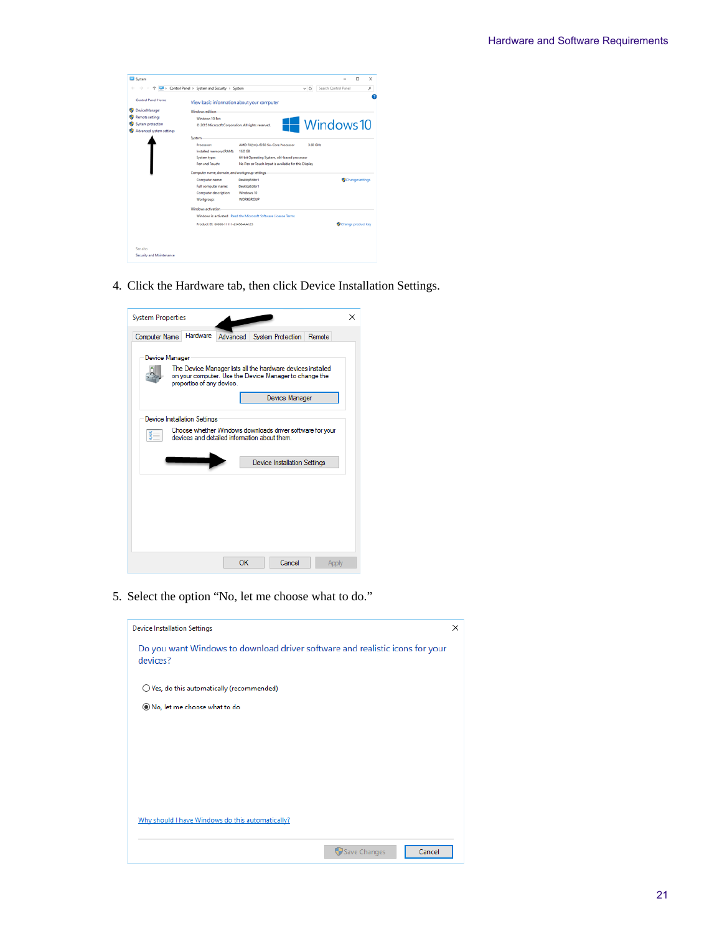| System                                                              |                                                    |                                                                |            | -                    | $\Box$          | $\times$ |  |
|---------------------------------------------------------------------|----------------------------------------------------|----------------------------------------------------------------|------------|----------------------|-----------------|----------|--|
| $\frac{1}{2} \left( \frac{1}{2} \right) \left( \frac{1}{2} \right)$ | T E > Control Panel > System and Security > System |                                                                | $~\vee~$ 0 | Search Control Panel |                 | ۹        |  |
| Control Panel Home                                                  | View basic information about your computer         |                                                                |            |                      |                 |          |  |
| Device Manager                                                      | Windows edition                                    |                                                                |            |                      |                 |          |  |
| <b>Remote settings</b>                                              | Windows 10 Pro                                     |                                                                |            |                      |                 |          |  |
| System protection                                                   | C 2015 Microsoft Corporation. All rights reserved. |                                                                |            | Windows 10           |                 |          |  |
| Advanced system settings                                            |                                                    |                                                                |            |                      |                 |          |  |
|                                                                     | System                                             |                                                                |            |                      |                 |          |  |
|                                                                     | Processor:                                         | AMD FX(tm)-6350 Six-Core Processor                             | 3:00 GHz   |                      |                 |          |  |
|                                                                     | Installed memory (RAM):                            | 16.0 GB                                                        |            |                      |                 |          |  |
|                                                                     | System type:                                       | 64-bit Operating System, x64-based processor                   |            |                      |                 |          |  |
|                                                                     | Pen and Touch:                                     | No Pen or Touch Input is available for this Display            |            |                      |                 |          |  |
|                                                                     | Computer name, domain, and workgroup settings      |                                                                |            |                      |                 |          |  |
|                                                                     | Computer name:                                     | DesktooEditor1                                                 |            |                      | Change settings |          |  |
|                                                                     | Full computer name:                                | DesktopEditor1                                                 |            |                      |                 |          |  |
|                                                                     | Computer description:                              | Windows 10                                                     |            |                      |                 |          |  |
|                                                                     | Workgroup:                                         | WORKGROUP                                                      |            |                      |                 |          |  |
|                                                                     | Windows activation                                 |                                                                |            |                      |                 |          |  |
|                                                                     |                                                    | Windows is activated Read the Microsoft Software License Terms |            |                      |                 |          |  |
|                                                                     | Product ID: 00000-11111-23456-AA123                |                                                                |            | Change product key   |                 |          |  |
|                                                                     |                                                    |                                                                |            |                      |                 |          |  |
|                                                                     |                                                    |                                                                |            |                      |                 |          |  |
|                                                                     |                                                    |                                                                |            |                      |                 |          |  |
| See also                                                            |                                                    |                                                                |            |                      |                 |          |  |
| Security and Maintenance                                            |                                                    |                                                                |            |                      |                 |          |  |
|                                                                     |                                                    |                                                                |            |                      |                 |          |  |

4. Click the Hardware tab, then click Device Installation Settings.

| <b>System Properties</b>                                                                                                                                                               | $\times$ |  |  |  |
|----------------------------------------------------------------------------------------------------------------------------------------------------------------------------------------|----------|--|--|--|
| Hardware<br><b>Computer Name</b><br>Advanced System Protection<br>Remote                                                                                                               |          |  |  |  |
| Device Manager<br>The Device Manager lists all the hardware devices installed<br>on your computer. Use the Device Manager to change the<br>properties of any device.<br>Device Manager |          |  |  |  |
| <b>Device Installation Settings</b><br>Choose whether Windows downloads driver software for your<br>devices and detailed information about them<br>Device Installation Settings        |          |  |  |  |
|                                                                                                                                                                                        |          |  |  |  |
| OK<br>Cancel<br>Apply                                                                                                                                                                  |          |  |  |  |

5. Select the option "No, let me choose what to do."

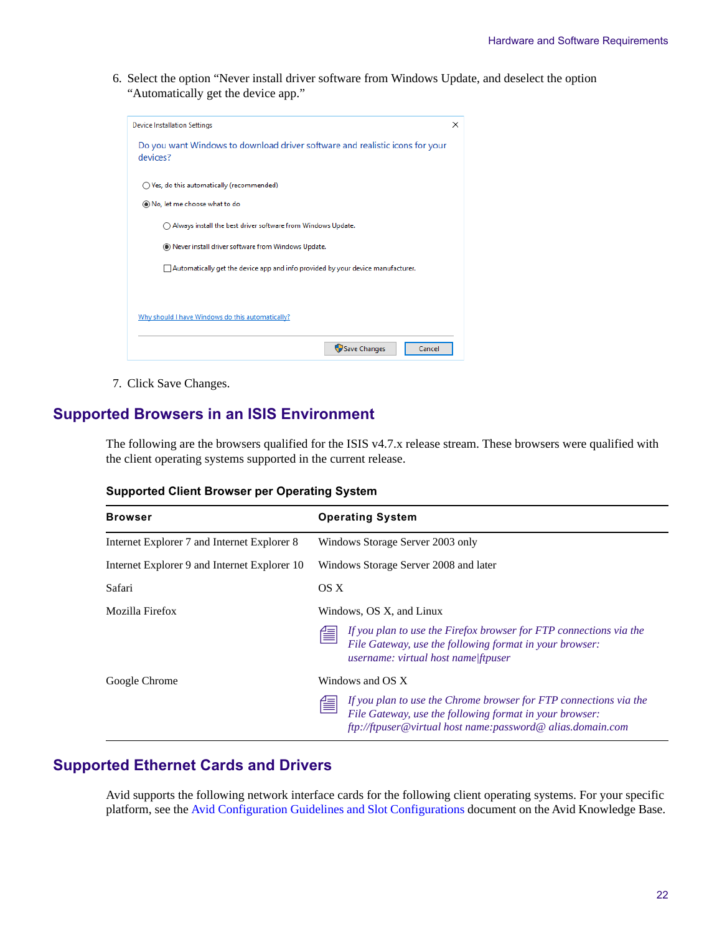6. Select the option "Never install driver software from Windows Update, and deselect the option "Automatically get the device app."



7. Click Save Changes.

### <span id="page-21-1"></span>**Supported Browsers in an ISIS Environment**

The following are the browsers qualified for the ISIS v4.7.x release stream. These browsers were qualified with the client operating systems supported in the current release.

| <b>Browser</b>                               | <b>Operating System</b>                                                                                                                                                                          |  |  |  |
|----------------------------------------------|--------------------------------------------------------------------------------------------------------------------------------------------------------------------------------------------------|--|--|--|
| Internet Explorer 7 and Internet Explorer 8  | Windows Storage Server 2003 only                                                                                                                                                                 |  |  |  |
| Internet Explorer 9 and Internet Explorer 10 | Windows Storage Server 2008 and later                                                                                                                                                            |  |  |  |
| Safari                                       | OS X                                                                                                                                                                                             |  |  |  |
| Mozilla Firefox                              | Windows, OS X, and Linux                                                                                                                                                                         |  |  |  |
|                                              | If you plan to use the Firefox browser for FTP connections via the<br>筐<br>File Gateway, use the following format in your browser:<br><i>username: virtual host name</i> ftpuser                 |  |  |  |
| Google Chrome                                | Windows and OS X                                                                                                                                                                                 |  |  |  |
|                                              | If you plan to use the Chrome browser for FTP connections via the<br>筐<br>File Gateway, use the following format in your browser:<br>$ftp://ftpuser@virtual host name:password@alias.domain.com$ |  |  |  |

### **Supported Client Browser per Operating System**

## <span id="page-21-0"></span>**Supported Ethernet Cards and Drivers**

Avid supports the following network interface cards for the following client operating systems. For your specific platform, see the [Avid Configuration Guidelines and Slot Configurations](http://avid.force.com/pkb/articles/en_US/user_guide/en269631) document on the Avid Knowledge Base.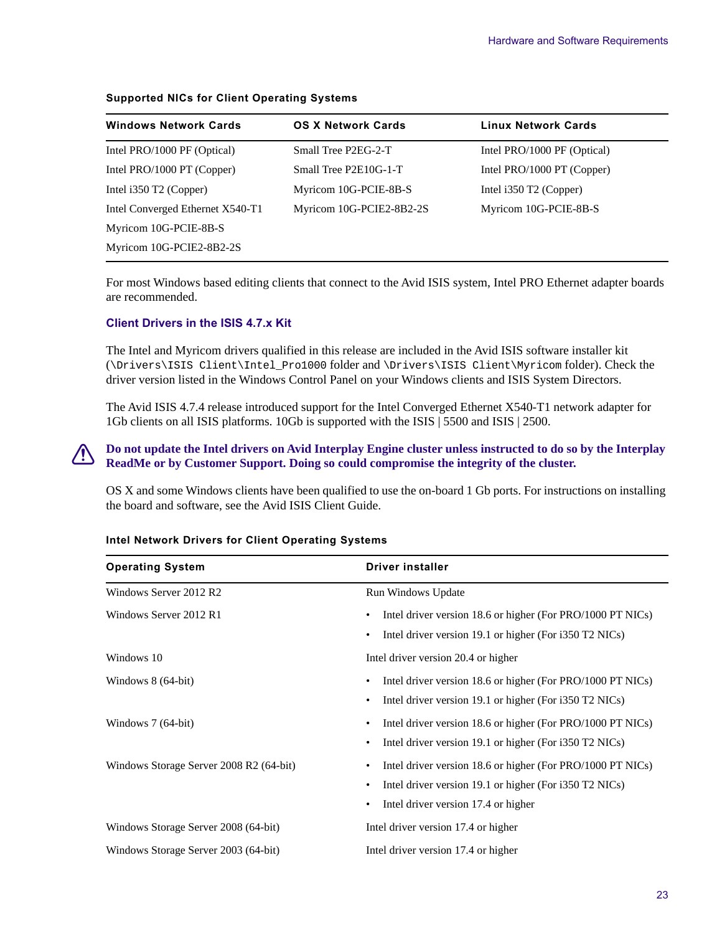| <b>Windows Network Cards</b>     | <b>OS X Network Cards</b> | <b>Linux Network Cards</b>           |
|----------------------------------|---------------------------|--------------------------------------|
| Intel PRO/1000 PF (Optical)      | Small Tree P2EG-2-T       | Intel PRO/1000 PF (Optical)          |
| Intel PRO/1000 PT (Copper)       | Small Tree P2E10G-1-T     | Intel PRO/1000 PT (Copper)           |
| Intel $i350$ T2 (Copper)         | Myricom 10G-PCIE-8B-S     | Intel $i350$ T <sub>2</sub> (Copper) |
| Intel Converged Ethernet X540-T1 | Myricom 10G-PCIE2-8B2-2S  | Myricom 10G-PCIE-8B-S                |
| Myricom 10G-PCIE-8B-S            |                           |                                      |
| Myricom 10G-PCIE2-8B2-2S         |                           |                                      |

### **Supported NICs for Client Operating Systems**

For most Windows based editing clients that connect to the Avid ISIS system, Intel PRO Ethernet adapter boards are recommended.

### **Client Drivers in the ISIS 4.7.x Kit**

The Intel and Myricom drivers qualified in this release are included in the Avid ISIS software installer kit (\Drivers\ISIS Client\Intel\_Pro1000 folder and \Drivers\ISIS Client\Myricom folder). Check the driver version listed in the Windows Control Panel on your Windows clients and ISIS System Directors.

The Avid ISIS 4.7.4 release introduced support for the Intel Converged Ethernet X540-T1 network adapter for 1Gb clients on all ISIS platforms. 10Gb is supported with the ISIS | 5500 and ISIS | 2500.

### **Consolution Intel drivers on Avid Interplay Engine cluster unless instructed to do so by the Interplay**<br>**PosedMe on by Customer Support, Doing so sould compromise the integrity of the cluster ReadMe or by Customer Support. Doing so could compromise the integrity of the cluster.**

OS X and some Windows clients have been qualified to use the on-board 1 Gb ports. For instructions on installing the board and software, see the Avid ISIS Client Guide.

| <b>Operating System</b>                 | <b>Driver installer</b>                                                                                                                                     |
|-----------------------------------------|-------------------------------------------------------------------------------------------------------------------------------------------------------------|
| Windows Server 2012 R2                  | Run Windows Update                                                                                                                                          |
| Windows Server 2012 R1                  | Intel driver version 18.6 or higher (For PRO/1000 PT NICs)<br>Intel driver version 19.1 or higher (For i350 T2 NICs)                                        |
| Windows 10                              | Intel driver version 20.4 or higher                                                                                                                         |
| Windows $8(64-bit)$                     | Intel driver version 18.6 or higher (For PRO/1000 PT NICs)<br>Intel driver version 19.1 or higher (For i350 T2 NICs)                                        |
| Windows 7 (64-bit)                      | Intel driver version 18.6 or higher (For PRO/1000 PT NICs)<br>Intel driver version 19.1 or higher (For i350 T2 NICs)                                        |
| Windows Storage Server 2008 R2 (64-bit) | Intel driver version 18.6 or higher (For PRO/1000 PT NICs)<br>Intel driver version 19.1 or higher (For i350 T2 NICs)<br>Intel driver version 17.4 or higher |
| Windows Storage Server 2008 (64-bit)    | Intel driver version 17.4 or higher                                                                                                                         |
| Windows Storage Server 2003 (64-bit)    | Intel driver version 17.4 or higher                                                                                                                         |

### **Intel Network Drivers for Client Operating Systems**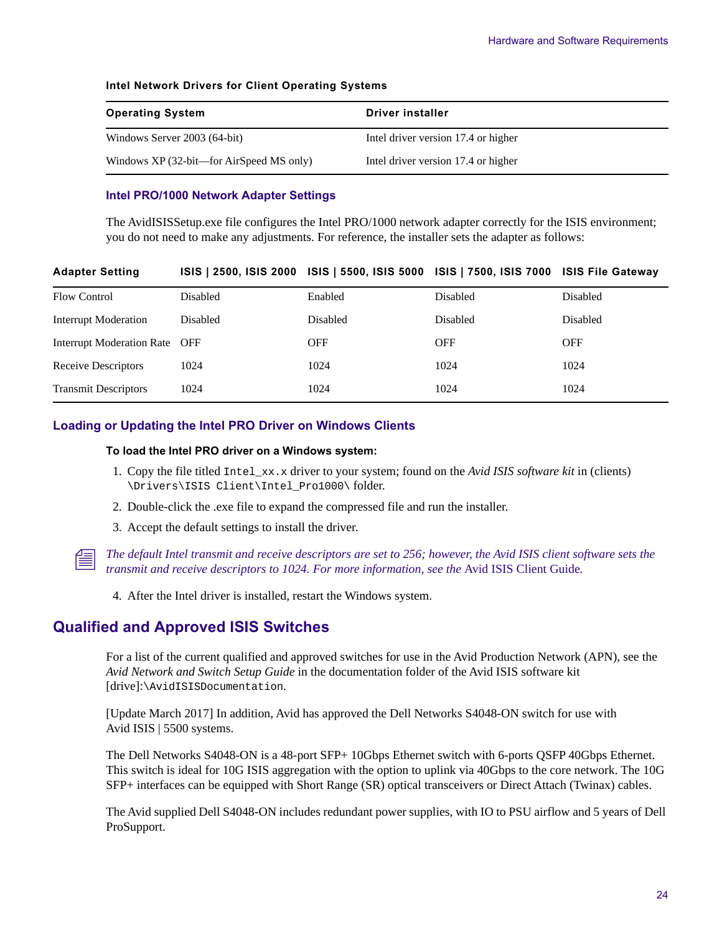### **Intel Network Drivers for Client Operating Systems**

| <b>Operating System</b>                  | <b>Driver installer</b>             |
|------------------------------------------|-------------------------------------|
| Windows Server 2003 (64-bit)             | Intel driver version 17.4 or higher |
| Windows XP (32-bit—for AirSpeed MS only) | Intel driver version 17.4 or higher |

### **Intel PRO/1000 Network Adapter Settings**

The AvidISISSetup.exe file configures the Intel PRO/1000 network adapter correctly for the ISIS environment; you do not need to make any adjustments. For reference, the installer sets the adapter as follows:

## **Adapter Setting ISIS | 2500, ISIS 2000 ISIS | 5500, ISIS 5000 ISIS | 7500, ISIS 7000 ISIS File Gateway** Flow Control Disabled Enabled Disabled Disabled Interrupt Moderation Disabled Disabled Disabled Disabled Interrupt Moderation Rate OFF OFF OFF OFF

### **Loading or Updating the Intel PRO Driver on Windows Clients**

### **To load the Intel PRO driver on a Windows system:**

- 1. Copy the file titled Intel\_xx.x driver to your system; found on the *Avid ISIS software kit* in (clients) \Drivers\ISIS Client\Intel\_Pro1000\ folder.
- 2. Double-click the .exe file to expand the compressed file and run the installer.

Receive Descriptors 1024 1024 1024 1024 1024 Transmit Descriptors 1024 1024 1024 1024 1024

3. Accept the default settings to install the driver.

n *The default Intel transmit and receive descriptors are set to 256; however, the Avid ISIS client software sets the transmit and receive descriptors to 1024. For more information, see the* Avid ISIS Client Guide*.*

4. After the Intel driver is installed, restart the Windows system.

## <span id="page-23-0"></span>**Qualified and Approved ISIS Switches**

For a list of the current qualified and approved switches for use in the Avid Production Network (APN), see the *Avid Network and Switch Setup Guide* in the documentation folder of the Avid ISIS software kit [drive]:\AvidISISDocumentation.

[Update March 2017] In addition, Avid has approved the Dell Networks S4048-ON switch for use with Avid ISIS | 5500 systems.

The Dell Networks S4048-ON is a 48-port SFP+ 10Gbps Ethernet switch with 6-ports QSFP 40Gbps Ethernet. This switch is ideal for 10G ISIS aggregation with the option to uplink via 40Gbps to the core network. The 10G SFP+ interfaces can be equipped with Short Range (SR) optical transceivers or Direct Attach (Twinax) cables.

The Avid supplied Dell S4048-ON includes redundant power supplies, with IO to PSU airflow and 5 years of Dell ProSupport.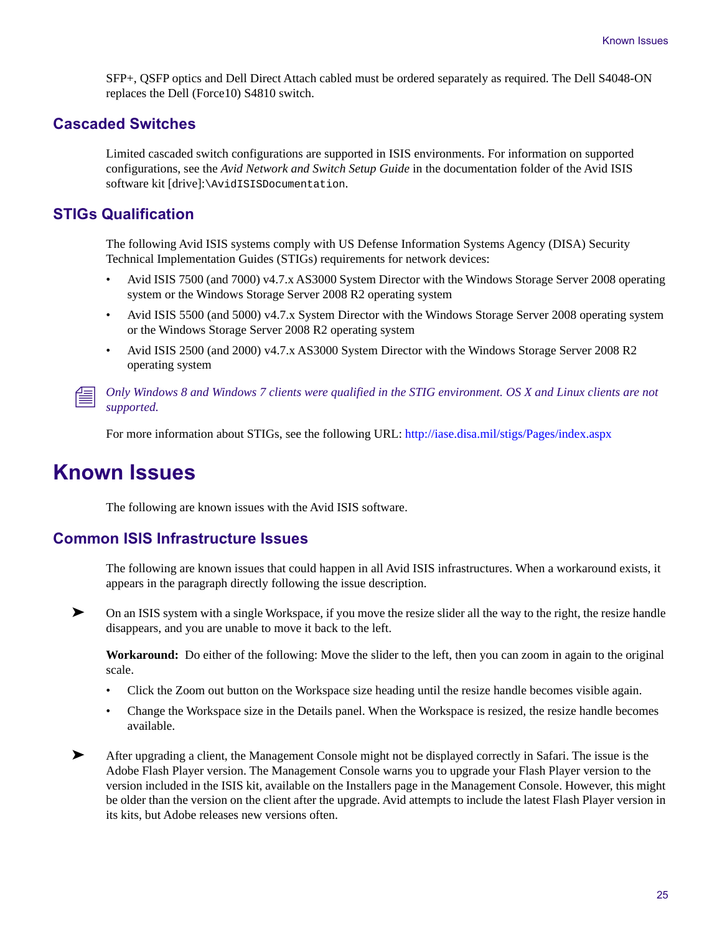SFP+, QSFP optics and Dell Direct Attach cabled must be ordered separately as required. The Dell S4048-ON replaces the Dell (Force10) S4810 switch.

### **Cascaded Switches**

Limited cascaded switch configurations are supported in ISIS environments. For information on supported configurations, see the *Avid Network and Switch Setup Guide* in the documentation folder of the Avid ISIS software kit [drive]:\AvidISISDocumentation.

## <span id="page-24-0"></span>**STIGs Qualification**

The following Avid ISIS systems comply with US Defense Information Systems Agency (DISA) Security Technical Implementation Guides (STIGs) requirements for network devices:

- Avid ISIS 7500 (and 7000) v4.7.x AS3000 System Director with the Windows Storage Server 2008 operating system or the Windows Storage Server 2008 R2 operating system
- Avid ISIS 5500 (and 5000) v4.7.x System Director with the Windows Storage Server 2008 operating system or the Windows Storage Server 2008 R2 operating system
- Avid ISIS 2500 (and 2000) v4.7.x AS3000 System Director with the Windows Storage Server 2008 R2 operating system

n *Only Windows 8 and Windows 7 clients were qualified in the STIG environment. OS X and Linux clients are not supported.*

For more information about STIGs, see the following URL: http://iase.disa.mil/stigs/Pages/index.aspx

## <span id="page-24-1"></span>**Known Issues**

The following are known issues with the Avid ISIS software.

### **Common ISIS Infrastructure Issues**

The following are known issues that could happen in all Avid ISIS infrastructures. When a workaround exists, it appears in the paragraph directly following the issue description.

➤ On an ISIS system with a single Workspace, if you move the resize slider all the way to the right, the resize handle disappears, and you are unable to move it back to the left.

**Workaround:** Do either of the following: Move the slider to the left, then you can zoom in again to the original scale.

- Click the Zoom out button on the Workspace size heading until the resize handle becomes visible again.
- Change the Workspace size in the Details panel. When the Workspace is resized, the resize handle becomes available.
- ➤ After upgrading a client, the Management Console might not be displayed correctly in Safari. The issue is the Adobe Flash Player version. The Management Console warns you to upgrade your Flash Player version to the version included in the ISIS kit, available on the Installers page in the Management Console. However, this might be older than the version on the client after the upgrade. Avid attempts to include the latest Flash Player version in its kits, but Adobe releases new versions often.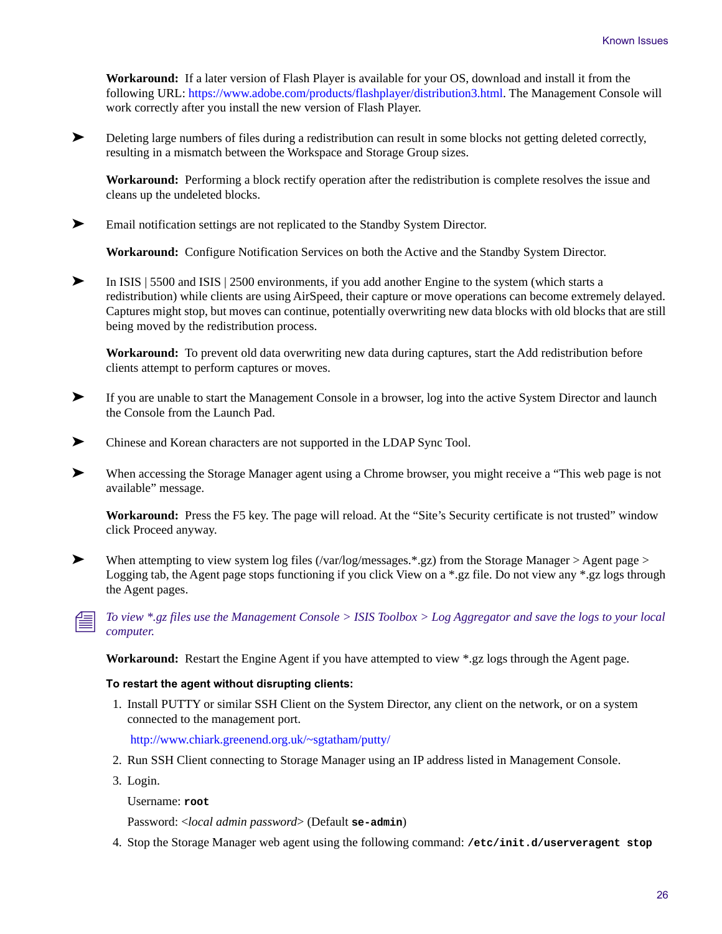**Workaround:** If a later version of Flash Player is available for your OS, download and install it from the following URL: https://www.adobe.com/products/flashplayer/distribution3.html. The Management Console will work correctly after you install the new version of Flash Player.

➤ Deleting large numbers of files during a redistribution can result in some blocks not getting deleted correctly, resulting in a mismatch between the Workspace and Storage Group sizes.

**Workaround:** Performing a block rectify operation after the redistribution is complete resolves the issue and cleans up the undeleted blocks.

➤ Email notification settings are not replicated to the Standby System Director.

**Workaround:** Configure Notification Services on both the Active and the Standby System Director.

➤ In ISIS | 5500 and ISIS | 2500 environments, if you add another Engine to the system (which starts a redistribution) while clients are using AirSpeed, their capture or move operations can become extremely delayed. Captures might stop, but moves can continue, potentially overwriting new data blocks with old blocks that are still being moved by the redistribution process.

**Workaround:** To prevent old data overwriting new data during captures, start the Add redistribution before clients attempt to perform captures or moves.

- ➤ If you are unable to start the Management Console in a browser, log into the active System Director and launch the Console from the Launch Pad.
- ➤ Chinese and Korean characters are not supported in the LDAP Sync Tool.
- ➤ When accessing the Storage Manager agent using a Chrome browser, you might receive a "This web page is not available" message.

**Workaround:** Press the F5 key. The page will reload. At the "Site's Security certificate is not trusted" window click Proceed anyway.

When attempting to view system log files (/var/log/messages.\*.gz) from the Storage Manager > Agent page > Logging tab, the Agent page stops functioning if you click View on a \*.gz file. Do not view any \*.gz logs through the Agent pages.

n *To view \*.gz files use the Management Console > ISIS Toolbox > Log Aggregator and save the logs to your local computer.*

**Workaround:** Restart the Engine Agent if you have attempted to view \*.gz logs through the Agent page.

#### **To restart the agent without disrupting clients:**

1. Install PUTTY or similar SSH Client on the System Director, any client on the network, or on a system connected to the management port.

[h](http://www.chiark.greenend.org.uk/~sgtatham/putty/)ttp://www.chiark.greenend.org.uk/~sgtatham/putty/

- 2. Run SSH Client connecting to Storage Manager using an IP address listed in Management Console.
- 3. Login.

Username: **root**

Password: <*local admin password*> (Default **se-admin**)

4. Stop the Storage Manager web agent using the following command: **/etc/init.d/userveragent stop**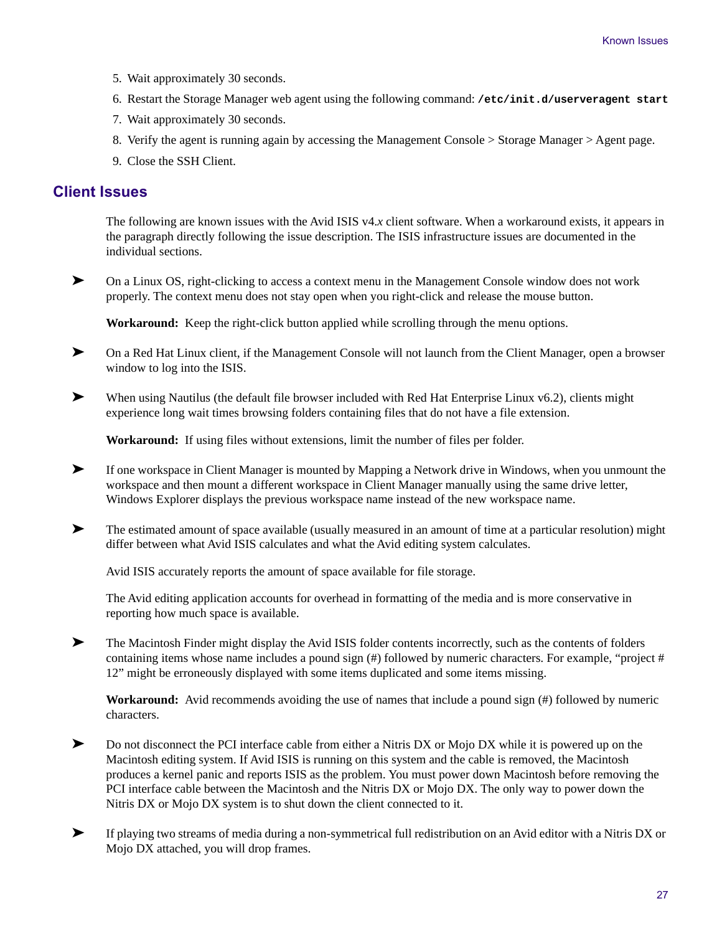- 5. Wait approximately 30 seconds.
- 6. Restart the Storage Manager web agent using the following command: **/etc/init.d/userveragent start**
- 7. Wait approximately 30 seconds.
- 8. Verify the agent is running again by accessing the Management Console > Storage Manager > Agent page.
- 9. Close the SSH Client.

### <span id="page-26-0"></span>**Client Issues**

The following are known issues with the Avid ISIS v4.*x* client software. When a workaround exists, it appears in the paragraph directly following the issue description. The ISIS infrastructure issues are documented in the individual sections.

➤ On a Linux OS, right-clicking to access a context menu in the Management Console window does not work properly. The context menu does not stay open when you right-click and release the mouse button.

**Workaround:** Keep the right-click button applied while scrolling through the menu options.

- ➤ On a Red Hat Linux client, if the Management Console will not launch from the Client Manager, open a browser window to log into the ISIS.
- ➤ When using Nautilus (the default file browser included with Red Hat Enterprise Linux v6.2), clients might experience long wait times browsing folders containing files that do not have a file extension.

**Workaround:** If using files without extensions, limit the number of files per folder.

- ➤ If one workspace in Client Manager is mounted by Mapping a Network drive in Windows, when you unmount the workspace and then mount a different workspace in Client Manager manually using the same drive letter, Windows Explorer displays the previous workspace name instead of the new workspace name.
- ➤ The estimated amount of space available (usually measured in an amount of time at a particular resolution) might differ between what Avid ISIS calculates and what the Avid editing system calculates.

Avid ISIS accurately reports the amount of space available for file storage.

The Avid editing application accounts for overhead in formatting of the media and is more conservative in reporting how much space is available.

➤ The Macintosh Finder might display the Avid ISIS folder contents incorrectly, such as the contents of folders containing items whose name includes a pound sign (#) followed by numeric characters. For example, "project # 12" might be erroneously displayed with some items duplicated and some items missing.

**Workaround:** Avid recommends avoiding the use of names that include a pound sign (#) followed by numeric characters.

- ➤ Do not disconnect the PCI interface cable from either a Nitris DX or Mojo DX while it is powered up on the Macintosh editing system. If Avid ISIS is running on this system and the cable is removed, the Macintosh produces a kernel panic and reports ISIS as the problem. You must power down Macintosh before removing the PCI interface cable between the Macintosh and the Nitris DX or Mojo DX. The only way to power down the Nitris DX or Mojo DX system is to shut down the client connected to it.
- ➤ If playing two streams of media during a non-symmetrical full redistribution on an Avid editor with a Nitris DX or Mojo DX attached, you will drop frames.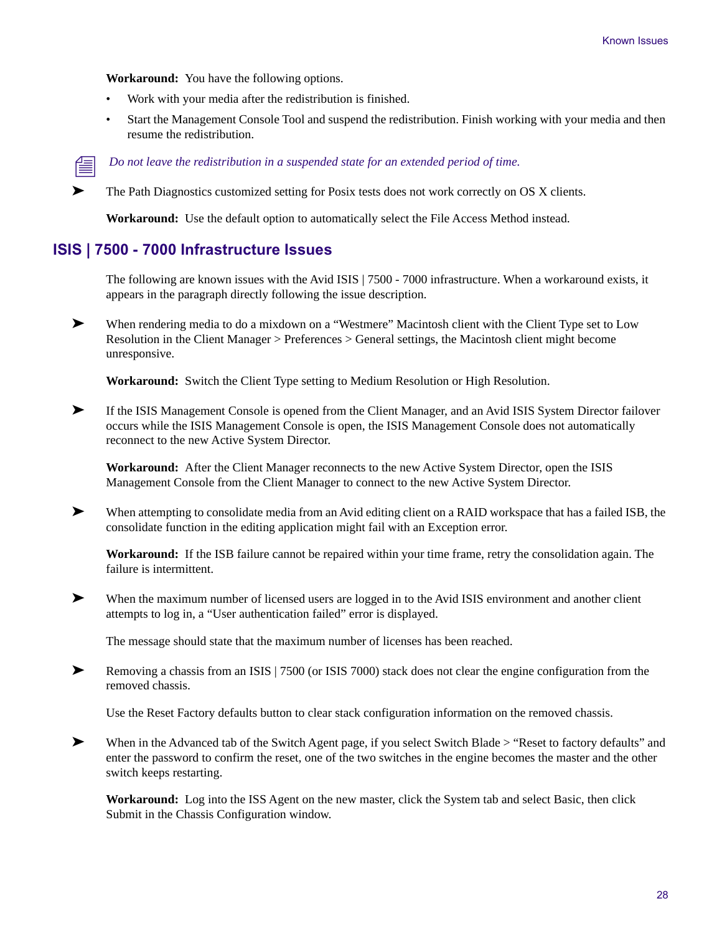**Workaround:** You have the following options.

- Work with your media after the redistribution is finished.
- Start the Management Console Tool and suspend the redistribution. Finish working with your media and then resume the redistribution.



n *Do not leave the redistribution in a suspended state for an extended period of time.*

The Path Diagnostics customized setting for Posix tests does not work correctly on OS X clients.

**Workaround:** Use the default option to automatically select the File Access Method instead.

### **ISIS | 7500 - 7000 Infrastructure Issues**

The following are known issues with the Avid ISIS | 7500 - 7000 infrastructure. When a workaround exists, it appears in the paragraph directly following the issue description.

➤ When rendering media to do a mixdown on a "Westmere" Macintosh client with the Client Type set to Low Resolution in the Client Manager > Preferences > General settings, the Macintosh client might become unresponsive.

Workaround: Switch the Client Type setting to Medium Resolution or High Resolution.

➤ If the ISIS Management Console is opened from the Client Manager, and an Avid ISIS System Director failover occurs while the ISIS Management Console is open, the ISIS Management Console does not automatically reconnect to the new Active System Director.

**Workaround:** After the Client Manager reconnects to the new Active System Director, open the ISIS Management Console from the Client Manager to connect to the new Active System Director.

➤ When attempting to consolidate media from an Avid editing client on a RAID workspace that has a failed ISB, the consolidate function in the editing application might fail with an Exception error.

**Workaround:** If the ISB failure cannot be repaired within your time frame, retry the consolidation again. The failure is intermittent.

➤ When the maximum number of licensed users are logged in to the Avid ISIS environment and another client attempts to log in, a "User authentication failed" error is displayed.

The message should state that the maximum number of licenses has been reached.

➤ Removing a chassis from an ISIS | 7500 (or ISIS 7000) stack does not clear the engine configuration from the removed chassis.

Use the Reset Factory defaults button to clear stack configuration information on the removed chassis.

➤ When in the Advanced tab of the Switch Agent page, if you select Switch Blade > "Reset to factory defaults" and enter the password to confirm the reset, one of the two switches in the engine becomes the master and the other switch keeps restarting.

**Workaround:** Log into the ISS Agent on the new master, click the System tab and select Basic, then click Submit in the Chassis Configuration window.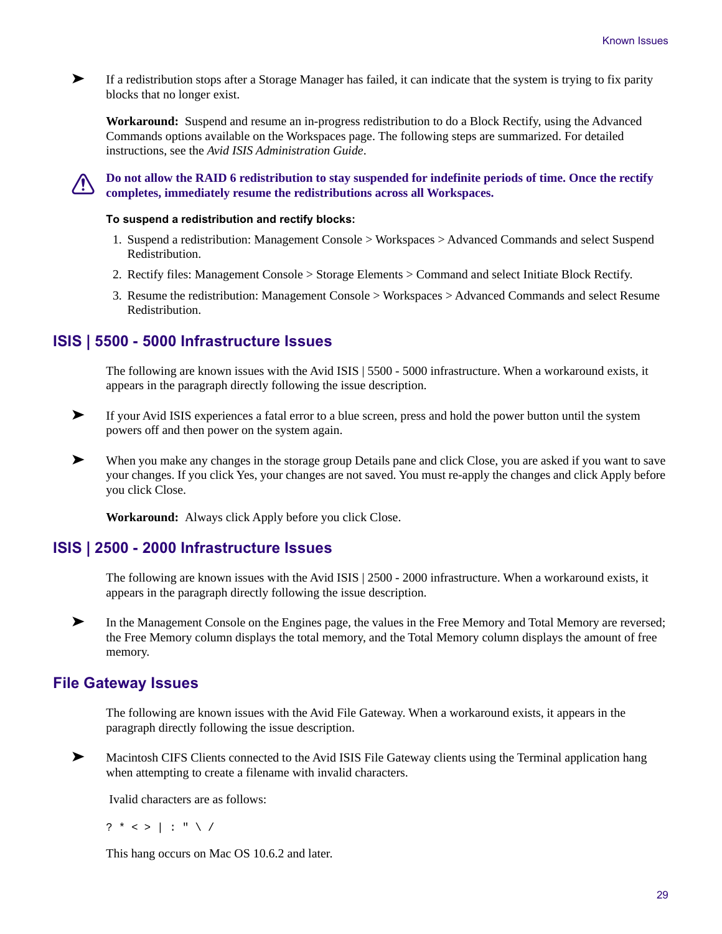➤ If a redistribution stops after a Storage Manager has failed, it can indicate that the system is trying to fix parity blocks that no longer exist.

**Workaround:** Suspend and resume an in-progress redistribution to do a Block Rectify, using the Advanced Commands options available on the Workspaces page. The following steps are summarized. For detailed instructions, see the *Avid ISIS Administration Guide*.

**c** Do not allow the RAID 6 redistribution to stay suspended for indefinite periods of time. Once the rectify **Do** not allow the RAID 6 redistribution to stay suspended for indefinite periods of time. Once the rectify **completes, immediately resume the redistributions across all Workspaces.**

### **To suspend a redistribution and rectify blocks:**

- 1. Suspend a redistribution: Management Console > Workspaces > Advanced Commands and select Suspend Redistribution.
- 2. Rectify files: Management Console > Storage Elements > Command and select Initiate Block Rectify.
- 3. Resume the redistribution: Management Console > Workspaces > Advanced Commands and select Resume Redistribution.

### **ISIS | 5500 - 5000 Infrastructure Issues**

The following are known issues with the Avid ISIS | 5500 - 5000 infrastructure. When a workaround exists, it appears in the paragraph directly following the issue description.

- ➤ If your Avid ISIS experiences a fatal error to a blue screen, press and hold the power button until the system powers off and then power on the system again.
- ➤ When you make any changes in the storage group Details pane and click Close, you are asked if you want to save your changes. If you click Yes, your changes are not saved. You must re-apply the changes and click Apply before you click Close.

**Workaround:** Always click Apply before you click Close.

### **ISIS | 2500 - 2000 Infrastructure Issues**

The following are known issues with the Avid ISIS | 2500 - 2000 infrastructure. When a workaround exists, it appears in the paragraph directly following the issue description.

➤ In the Management Console on the Engines page, the values in the Free Memory and Total Memory are reversed; the Free Memory column displays the total memory, and the Total Memory column displays the amount of free memory.

## **File Gateway Issues**

The following are known issues with the Avid File Gateway. When a workaround exists, it appears in the paragraph directly following the issue description.

◆ Macintosh CIFS Clients connected to the Avid ISIS File Gateway clients using the Terminal application hang when attempting to create a filename with invalid characters.

Ivalid characters are as follows:

? \* < >  $| : " \ \ \ \ \ \ \ \$ 

This hang occurs on Mac OS 10.6.2 and later.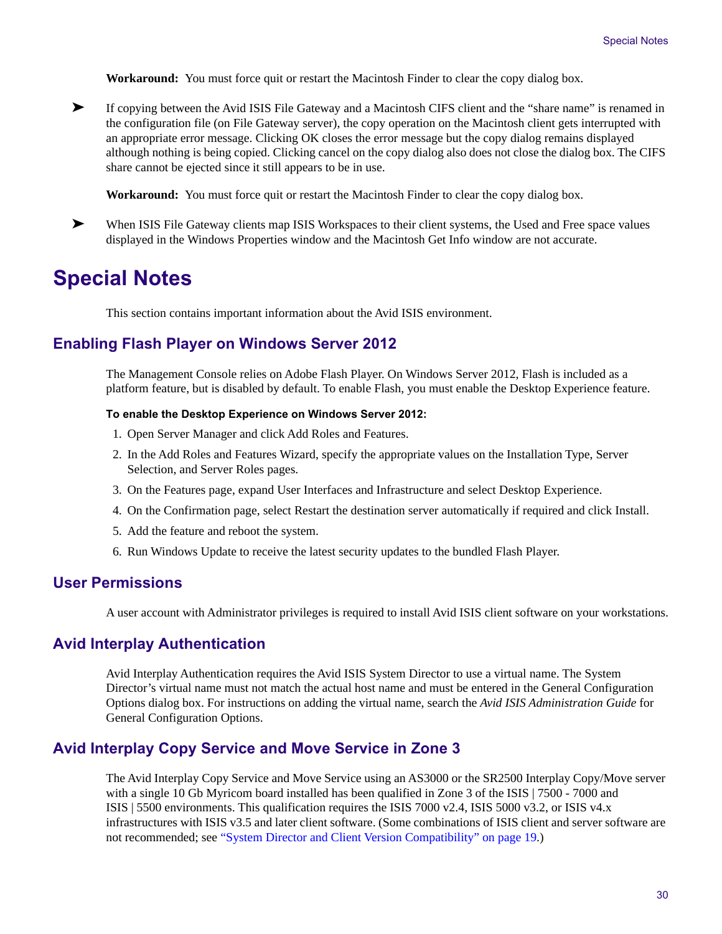**Workaround:** You must force quit or restart the Macintosh Finder to clear the copy dialog box.

➤ If copying between the Avid ISIS File Gateway and a Macintosh CIFS client and the "share name" is renamed in the configuration file (on File Gateway server), the copy operation on the Macintosh client gets interrupted with an appropriate error message. Clicking OK closes the error message but the copy dialog remains displayed although nothing is being copied. Clicking cancel on the copy dialog also does not close the dialog box. The CIFS share cannot be ejected since it still appears to be in use.

**Workaround:** You must force quit or restart the Macintosh Finder to clear the copy dialog box.

➤ When ISIS File Gateway clients map ISIS Workspaces to their client systems, the Used and Free space values displayed in the Windows Properties window and the Macintosh Get Info window are not accurate.

## <span id="page-29-1"></span>**Special Notes**

This section contains important information about the Avid ISIS environment.

### <span id="page-29-0"></span>**Enabling Flash Player on Windows Server 2012**

The Management Console relies on Adobe Flash Player. On Windows Server 2012, Flash is included as a platform feature, but is disabled by default. To enable Flash, you must enable the Desktop Experience feature.

#### **To enable the Desktop Experience on Windows Server 2012:**

- 1. Open Server Manager and click Add Roles and Features.
- 2. In the Add Roles and Features Wizard, specify the appropriate values on the Installation Type, Server Selection, and Server Roles pages.
- 3. On the Features page, expand User Interfaces and Infrastructure and select Desktop Experience.
- 4. On the Confirmation page, select Restart the destination server automatically if required and click Install.
- 5. Add the feature and reboot the system.
- 6. Run Windows Update to receive the latest security updates to the bundled Flash Player.

### **User Permissions**

A user account with Administrator privileges is required to install Avid ISIS client software on your workstations.

### **Avid Interplay Authentication**

Avid Interplay Authentication requires the Avid ISIS System Director to use a virtual name. The System Director's virtual name must not match the actual host name and must be entered in the General Configuration Options dialog box. For instructions on adding the virtual name, search the *Avid ISIS Administration Guide* for General Configuration Options.

### **Avid Interplay Copy Service and Move Service in Zone 3**

The Avid Interplay Copy Service and Move Service using an AS3000 or the SR2500 Interplay Copy/Move server with a single 10 Gb Myricom board installed has been qualified in Zone 3 of the ISIS | 7500 - 7000 and ISIS | 5500 environments. This qualification requires the ISIS 7000 v2.4, ISIS 5000 v3.2, or ISIS v4.x infrastructures with ISIS v3.5 and later client software. (Some combinations of ISIS client and server software are not recommended; see ["System Director and Client Version Compatibility" on page 19](#page-18-0).)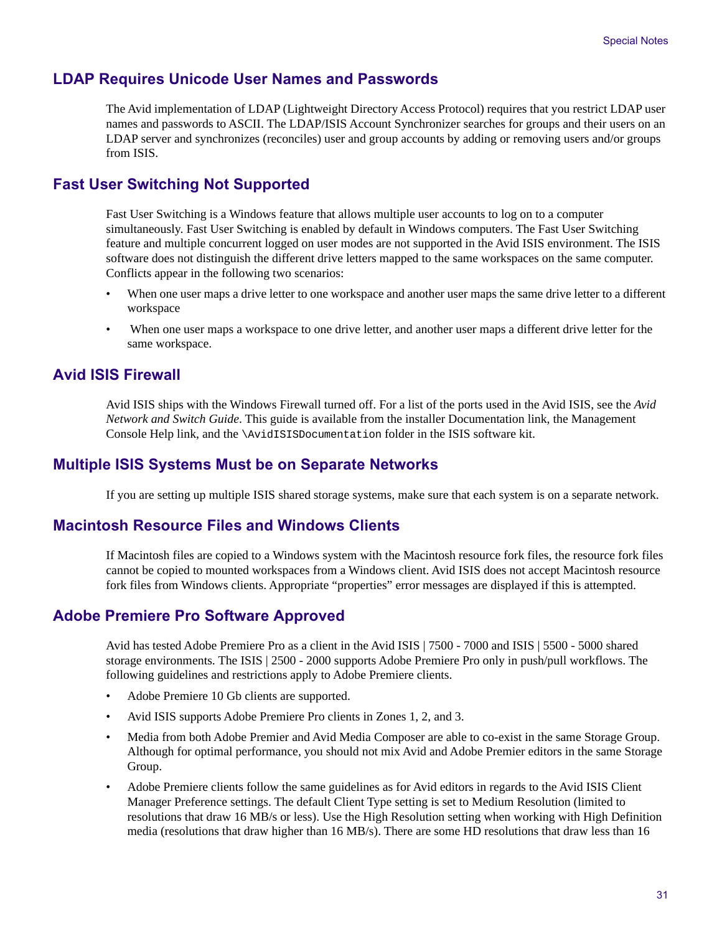## **LDAP Requires Unicode User Names and Passwords**

The Avid implementation of LDAP (Lightweight Directory Access Protocol) requires that you restrict LDAP user names and passwords to ASCII. The LDAP/ISIS Account Synchronizer searches for groups and their users on an LDAP server and synchronizes (reconciles) user and group accounts by adding or removing users and/or groups from ISIS.

## **Fast User Switching Not Supported**

Fast User Switching is a Windows feature that allows multiple user accounts to log on to a computer simultaneously. Fast User Switching is enabled by default in Windows computers. The Fast User Switching feature and multiple concurrent logged on user modes are not supported in the Avid ISIS environment. The ISIS software does not distinguish the different drive letters mapped to the same workspaces on the same computer. Conflicts appear in the following two scenarios:

- When one user maps a drive letter to one workspace and another user maps the same drive letter to a different workspace
- When one user maps a workspace to one drive letter, and another user maps a different drive letter for the same workspace.

### **Avid ISIS Firewall**

Avid ISIS ships with the Windows Firewall turned off. For a list of the ports used in the Avid ISIS, see the *Avid Network and Switch Guide*. This guide is available from the installer Documentation link, the Management Console Help link, and the \AvidISISDocumentation folder in the ISIS software kit.

### **Multiple ISIS Systems Must be on Separate Networks**

If you are setting up multiple ISIS shared storage systems, make sure that each system is on a separate network.

### **Macintosh Resource Files and Windows Clients**

If Macintosh files are copied to a Windows system with the Macintosh resource fork files, the resource fork files cannot be copied to mounted workspaces from a Windows client. Avid ISIS does not accept Macintosh resource fork files from Windows clients. Appropriate "properties" error messages are displayed if this is attempted.

## <span id="page-30-0"></span>**Adobe Premiere Pro Software Approved**

Avid has tested Adobe Premiere Pro as a client in the Avid ISIS | 7500 - 7000 and ISIS | 5500 - 5000 shared storage environments. The ISIS | 2500 - 2000 supports Adobe Premiere Pro only in push/pull workflows. The following guidelines and restrictions apply to Adobe Premiere clients.

- Adobe Premiere 10 Gb clients are supported.
- Avid ISIS supports Adobe Premiere Pro clients in Zones 1, 2, and 3.
- Media from both Adobe Premier and Avid Media Composer are able to co-exist in the same Storage Group. Although for optimal performance, you should not mix Avid and Adobe Premier editors in the same Storage Group.
- Adobe Premiere clients follow the same guidelines as for Avid editors in regards to the Avid ISIS Client Manager Preference settings. The default Client Type setting is set to Medium Resolution (limited to resolutions that draw 16 MB/s or less). Use the High Resolution setting when working with High Definition media (resolutions that draw higher than 16 MB/s). There are some HD resolutions that draw less than 16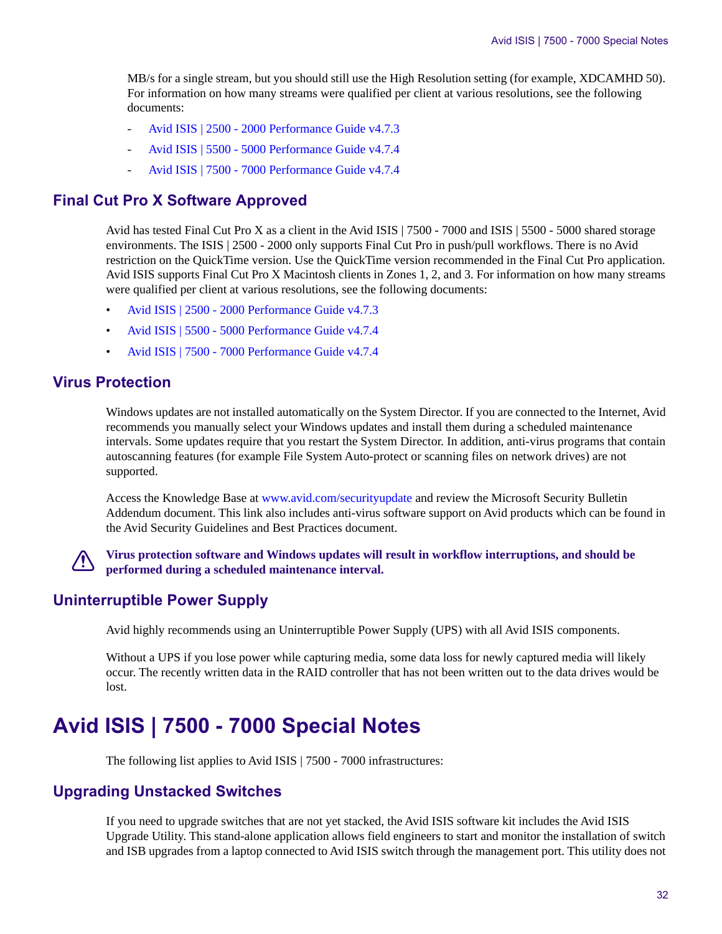MB/s for a single stream, but you should still use the High Resolution setting (for example, XDCAMHD 50). For information on how many streams were qualified per client at various resolutions, see the following documents:

- [Avid ISIS | 2500 2000 Performance Guide v4.7.3](http://resources.avid.com/SupportFiles/attach/AvidISIS/ISIS_2000_v4.7_Performance_Guide.pdf)
- [Avid ISIS | 5500 5000 Performance Guide v4.7.4](http://resources.avid.com/SupportFiles/attach/AvidISIS/ISIS_5000_v4.7.4_Performance_Guide.pdf)
- [Avid ISIS | 7500 7000 Performance Guide v4.7.4](http://resources.avid.com/SupportFiles/attach/AvidISIS/ISIS_7000_v4.7.4_Performance_Guide.pdf)

### **Final Cut Pro X Software Approved**

Avid has tested Final Cut Pro X as a client in the Avid ISIS | 7500 - 7000 and ISIS | 5500 - 5000 shared storage environments. The ISIS | 2500 - 2000 only supports Final Cut Pro in push/pull workflows. There is no Avid restriction on the QuickTime version. Use the QuickTime version recommended in the Final Cut Pro application. Avid ISIS supports Final Cut Pro X Macintosh clients in Zones 1, 2, and 3. For information on how many streams were qualified per client at various resolutions, see the following documents:

- [Avid ISIS | 2500 2000 Performance Guide v4.7.3](http://resources.avid.com/SupportFiles/attach/AvidISIS/ISIS_2000_v4.7_Performance_Guide.pdf)
- [Avid ISIS | 5500 5000 Performance Guide v4.7.4](http://resources.avid.com/SupportFiles/attach/AvidISIS/ISIS_5000_v4.7.4_Performance_Guide.pdf)
- [Avid ISIS | 7500 7000 Performance Guide v4.7.4](http://resources.avid.com/SupportFiles/attach/AvidISIS/ISIS_7000_v4.7.4_Performance_Guide.pdf)

## **Virus Protection**

Windows updates are not installed automatically on the System Director. If you are connected to the Internet, Avid recommends you manually select your Windows updates and install them during a scheduled maintenance intervals. Some updates require that you restart the System Director. In addition, anti-virus programs that contain autoscanning features (for example File System Auto-protect or scanning files on network drives) are not supported.

Access the Knowledge Base at [www.avid.com/securityupdate](http://www.avid.com/securityupdate) and review the Microsoft Security Bulletin Addendum document. This link also includes anti-virus software support on Avid products which can be found in the Avid Security Guidelines and Best Practices document.

### c **Virus protection software and Windows updates will result in workflow interruptions, and should be performed during a scheduled maintenance interval.**

## **Uninterruptible Power Supply**

Avid highly recommends using an Uninterruptible Power Supply (UPS) with all Avid ISIS components.

Without a UPS if you lose power while capturing media, some data loss for newly captured media will likely occur. The recently written data in the RAID controller that has not been written out to the data drives would be lost.

## <span id="page-31-0"></span>**Avid ISIS | 7500 - 7000 Special Notes**

The following list applies to Avid ISIS | 7500 - 7000 infrastructures:

## **Upgrading Unstacked Switches**

If you need to upgrade switches that are not yet stacked, the Avid ISIS software kit includes the Avid ISIS Upgrade Utility. This stand-alone application allows field engineers to start and monitor the installation of switch and ISB upgrades from a laptop connected to Avid ISIS switch through the management port. This utility does not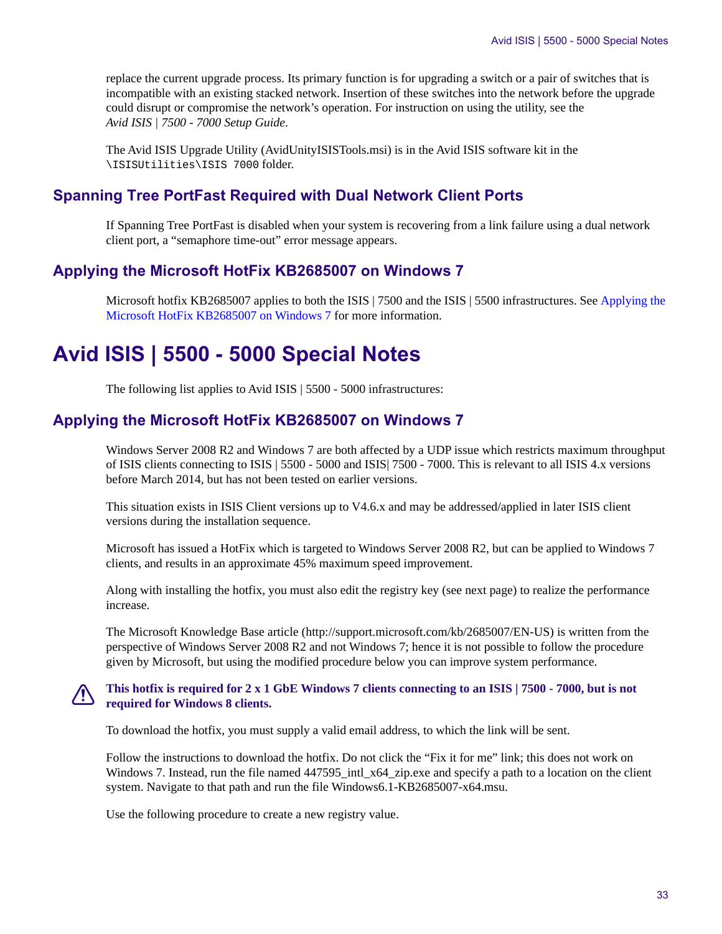replace the current upgrade process. Its primary function is for upgrading a switch or a pair of switches that is incompatible with an existing stacked network. Insertion of these switches into the network before the upgrade could disrupt or compromise the network's operation. For instruction on using the utility, see the *Avid ISIS | 7500 - 7000 Setup Guide*.

The Avid ISIS Upgrade Utility (AvidUnityISISTools.msi) is in the Avid ISIS software kit in the \ISISUtilities\ISIS 7000 folder.

## **Spanning Tree PortFast Required with Dual Network Client Ports**

If Spanning Tree PortFast is disabled when your system is recovering from a link failure using a dual network client port, a "semaphore time-out" error message appears.

## **Applying the Microsoft HotFix KB2685007 on Windows 7**

Microsoft hotfix KB2685007 applies to both the ISIS | 7500 and the ISIS | 5500 infrastructures. See Applying the [Microsoft HotFix KB2685007 on Windows 7](#page-32-0) for more information.

# <span id="page-32-1"></span>**Avid ISIS | 5500 - 5000 Special Notes**

The following list applies to Avid ISIS | 5500 - 5000 infrastructures:

## <span id="page-32-0"></span>**Applying the Microsoft HotFix KB2685007 on Windows 7**

Windows Server 2008 R2 and Windows 7 are both affected by a UDP issue which restricts maximum throughput of ISIS clients connecting to ISIS | 5500 - 5000 and ISIS| 7500 - 7000. This is relevant to all ISIS 4.x versions before March 2014, but has not been tested on earlier versions.

This situation exists in ISIS Client versions up to V4.6.x and may be addressed/applied in later ISIS client versions during the installation sequence.

Microsoft has issued a HotFix which is targeted to Windows Server 2008 R2, but can be applied to Windows 7 clients, and results in an approximate 45% maximum speed improvement.

Along with installing the hotfix, you must also edit the registry key (see next page) to realize the performance increase.

The Microsoft Knowledge Base article (http://support.microsoft.com/kb/2685007/EN-US) is written from the perspective of Windows Server 2008 R2 and not Windows 7; hence it is not possible to follow the procedure given by Microsoft, but using the modified procedure below you can improve system performance.

### c **This hotfix is required for 2 x 1 GbE Windows 7 clients connecting to an ISIS | 7500 - 7000, but is not required for Windows 8 clients.**

To download the hotfix, you must supply a valid email address, to which the link will be sent.

Follow the instructions to download the hotfix. Do not click the "Fix it for me" link; this does not work on Windows 7. Instead, run the file named 447595\_intl\_x64\_zip.exe and specify a path to a location on the client system. Navigate to that path and run the file Windows6.1-KB2685007-x64.msu.

Use the following procedure to create a new registry value.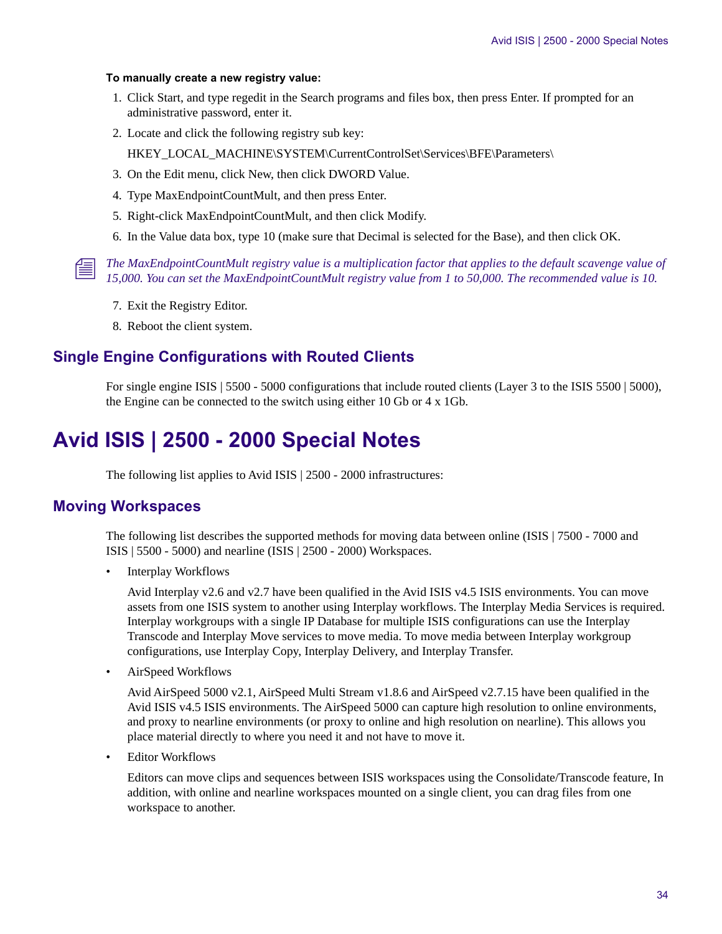### **To manually create a new registry value:**

- 1. Click Start, and type regedit in the Search programs and files box, then press Enter. If prompted for an administrative password, enter it.
- 2. Locate and click the following registry sub key:

HKEY\_LOCAL\_MACHINE\SYSTEM\CurrentControlSet\Services\BFE\Parameters\

- 3. On the Edit menu, click New, then click DWORD Value.
- 4. Type MaxEndpointCountMult, and then press Enter.
- 5. Right-click MaxEndpointCountMult, and then click Modify.
- 6. In the Value data box, type 10 (make sure that Decimal is selected for the Base), and then click OK.

n *The MaxEndpointCountMult registry value is a multiplication factor that applies to the default scavenge value of 15,000. You can set the MaxEndpointCountMult registry value from 1 to 50,000. The recommended value is 10.*

- 7. Exit the Registry Editor.
- 8. Reboot the client system.

## **Single Engine Configurations with Routed Clients**

For single engine ISIS | 5500 - 5000 configurations that include routed clients (Layer 3 to the ISIS 5500 | 5000), the Engine can be connected to the switch using either 10 Gb or 4 x 1Gb.

# <span id="page-33-0"></span>**Avid ISIS | 2500 - 2000 Special Notes**

The following list applies to Avid ISIS | 2500 - 2000 infrastructures:

### **Moving Workspaces**

The following list describes the supported methods for moving data between online (ISIS | 7500 - 7000 and ISIS | 5500 - 5000) and nearline (ISIS | 2500 - 2000) Workspaces.

• Interplay Workflows

Avid Interplay v2.6 and v2.7 have been qualified in the Avid ISIS v4.5 ISIS environments. You can move assets from one ISIS system to another using Interplay workflows. The Interplay Media Services is required. Interplay workgroups with a single IP Database for multiple ISIS configurations can use the Interplay Transcode and Interplay Move services to move media. To move media between Interplay workgroup configurations, use Interplay Copy, Interplay Delivery, and Interplay Transfer.

• AirSpeed Workflows

Avid AirSpeed 5000 v2.1, AirSpeed Multi Stream v1.8.6 and AirSpeed v2.7.15 have been qualified in the Avid ISIS v4.5 ISIS environments. The AirSpeed 5000 can capture high resolution to online environments, and proxy to nearline environments (or proxy to online and high resolution on nearline). This allows you place material directly to where you need it and not have to move it.

• Editor Workflows

Editors can move clips and sequences between ISIS workspaces using the Consolidate/Transcode feature, In addition, with online and nearline workspaces mounted on a single client, you can drag files from one workspace to another.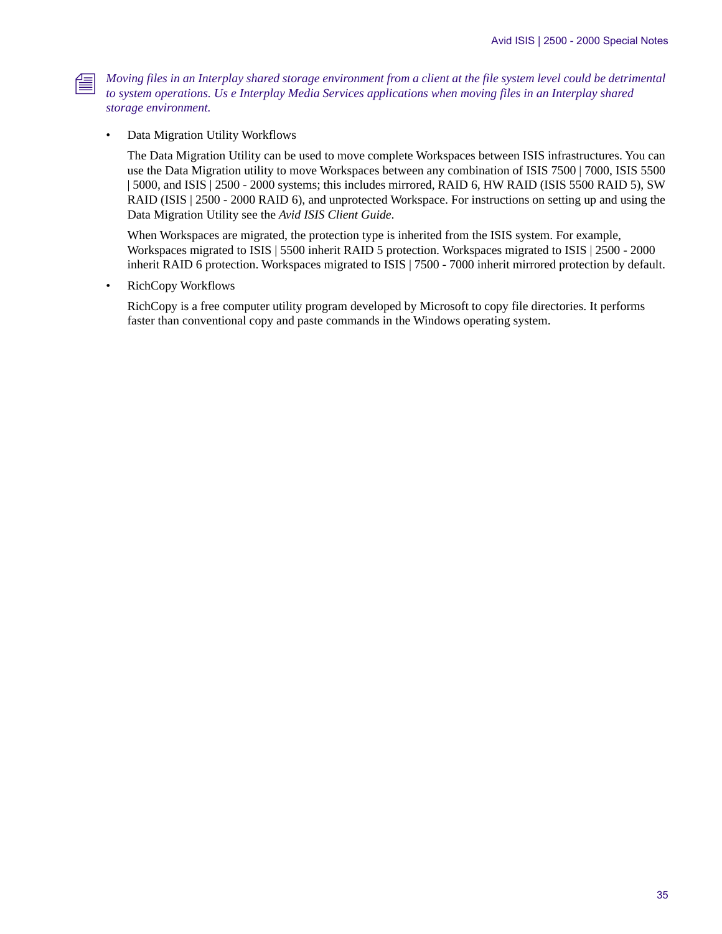n *Moving files in an Interplay shared storage environment from a client at the file system level could be detrimental to system operations. Us e Interplay Media Services applications when moving files in an Interplay shared storage environment.* 

• Data Migration Utility Workflows

The Data Migration Utility can be used to move complete Workspaces between ISIS infrastructures. You can use the Data Migration utility to move Workspaces between any combination of ISIS 7500 | 7000, ISIS 5500 | 5000, and ISIS | 2500 - 2000 systems; this includes mirrored, RAID 6, HW RAID (ISIS 5500 RAID 5), SW RAID (ISIS | 2500 - 2000 RAID 6), and unprotected Workspace. For instructions on setting up and using the Data Migration Utility see the *Avid ISIS Client Guide*.

When Workspaces are migrated, the protection type is inherited from the ISIS system. For example, Workspaces migrated to ISIS | 5500 inherit RAID 5 protection. Workspaces migrated to ISIS | 2500 - 2000 inherit RAID 6 protection. Workspaces migrated to ISIS | 7500 - 7000 inherit mirrored protection by default.

• RichCopy Workflows

RichCopy is a free computer utility program developed by Microsoft to copy file directories. It performs faster than conventional copy and paste commands in the Windows operating system.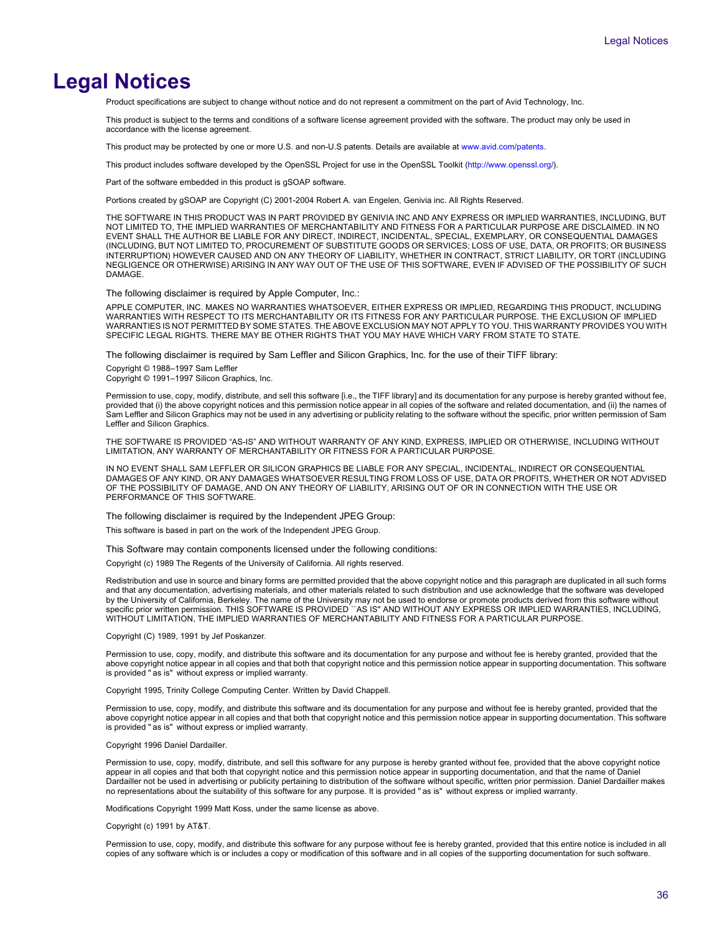## <span id="page-35-0"></span>**Legal Notices**

Product specifications are subject to change without notice and do not represent a commitment on the part of Avid Technology, Inc.

This product is subject to the terms and conditions of a software license agreement provided with the software. The product may only be used in accordance with the license agreement.

This product may be protected by one or more U.S. and non-U.S patents. Details are available at [www.avid.com/patents](http://www.avid.com/US/about-avid/legal-notices/patent-marking).

[This product includes software developed by the OpenSSL Project for use in the OpenSSL Toolkit \(h](http://www.openssl.org/)ttp://www.openssl.org/).

Part of the software embedded in this product is gSOAP software.

Portions created by gSOAP are Copyright (C) 2001-2004 Robert A. van Engelen, Genivia inc. All Rights Reserved.

THE SOFTWARE IN THIS PRODUCT WAS IN PART PROVIDED BY GENIVIA INC AND ANY EXPRESS OR IMPLIED WARRANTIES, INCLUDING, BUT NOT LIMITED TO, THE IMPLIED WARRANTIES OF MERCHANTABILITY AND FITNESS FOR A PARTICULAR PURPOSE ARE DISCLAIMED. IN NO EVENT SHALL THE AUTHOR BE LIABLE FOR ANY DIRECT, INDIRECT, INCIDENTAL, SPECIAL, EXEMPLARY, OR CONSEQUENTIAL DAMAGES (INCLUDING, BUT NOT LIMITED TO, PROCUREMENT OF SUBSTITUTE GOODS OR SERVICES; LOSS OF USE, DATA, OR PROFITS; OR BUSINESS INTERRUPTION) HOWEVER CAUSED AND ON ANY THEORY OF LIABILITY, WHETHER IN CONTRACT, STRICT LIABILITY, OR TORT (INCLUDING NEGLIGENCE OR OTHERWISE) ARISING IN ANY WAY OUT OF THE USE OF THIS SOFTWARE, EVEN IF ADVISED OF THE POSSIBILITY OF SUCH DAMAGE.

The following disclaimer is required by Apple Computer, Inc.:

APPLE COMPUTER, INC. MAKES NO WARRANTIES WHATSOEVER, EITHER EXPRESS OR IMPLIED, REGARDING THIS PRODUCT, INCLUDING WARRANTIES WITH RESPECT TO ITS MERCHANTABILITY OR ITS FITNESS FOR ANY PARTICULAR PURPOSE. THE EXCLUSION OF IMPLIED WARRANTIES IS NOT PERMITTED BY SOME STATES. THE ABOVE EXCLUSION MAY NOT APPLY TO YOU. THIS WARRANTY PROVIDES YOU WITH SPECIFIC LEGAL RIGHTS. THERE MAY BE OTHER RIGHTS THAT YOU MAY HAVE WHICH VARY FROM STATE TO STATE.

The following disclaimer is required by Sam Leffler and Silicon Graphics, Inc. for the use of their TIFF library:

Copyright © 1988–1997 Sam Leffler

Copyright © 1991–1997 Silicon Graphics, Inc.

Permission to use, copy, modify, distribute, and sell this software [i.e., the TIFF library] and its documentation for any purpose is hereby granted without fee, provided that (i) the above copyright notices and this permission notice appear in all copies of the software and related documentation, and (ii) the names of Sam Leffler and Silicon Graphics may not be used in any advertising or publicity relating to the software without the specific, prior written permission of Sam Leffler and Silicon Graphics.

THE SOFTWARE IS PROVIDED "AS-IS" AND WITHOUT WARRANTY OF ANY KIND, EXPRESS, IMPLIED OR OTHERWISE, INCLUDING WITHOUT LIMITATION, ANY WARRANTY OF MERCHANTABILITY OR FITNESS FOR A PARTICULAR PURPOSE.

IN NO EVENT SHALL SAM LEFFLER OR SILICON GRAPHICS BE LIABLE FOR ANY SPECIAL, INCIDENTAL, INDIRECT OR CONSEQUENTIAL DAMAGES OF ANY KIND, OR ANY DAMAGES WHATSOEVER RESULTING FROM LOSS OF USE, DATA OR PROFITS, WHETHER OR NOT ADVISED OF THE POSSIBILITY OF DAMAGE, AND ON ANY THEORY OF LIABILITY, ARISING OUT OF OR IN CONNECTION WITH THE USE OR PERFORMANCE OF THIS SOFTWARE.

The following disclaimer is required by the Independent JPEG Group:

This software is based in part on the work of the Independent JPEG Group.

This Software may contain components licensed under the following conditions:

Copyright (c) 1989 The Regents of the University of California. All rights reserved.

Redistribution and use in source and binary forms are permitted provided that the above copyright notice and this paragraph are duplicated in all such forms and that any documentation, advertising materials, and other materials related to such distribution and use acknowledge that the software was developed by the University of California, Berkeley. The name of the University may not be used to endorse or promote products derived from this software without<br>specific prior written permission. THIS SOFTWARE IS PROVIDED ``AS IS" WITHOUT LIMITATION, THE IMPLIED WARRANTIES OF MERCHANTABILITY AND FITNESS FOR A PARTICULAR PURPOSE.

Copyright (C) 1989, 1991 by Jef Poskanzer.

Permission to use, copy, modify, and distribute this software and its documentation for any purpose and without fee is hereby granted, provided that the above copyright notice appear in all copies and that both that copyright notice and this permission notice appear in supporting documentation. This software is provided " as is" without express or implied warranty.

Copyright 1995, Trinity College Computing Center. Written by David Chappell.

Permission to use, copy, modify, and distribute this software and its documentation for any purpose and without fee is hereby granted, provided that the above copyright notice appear in all copies and that both that copyright notice and this permission notice appear in supporting documentation. This software is provided " as is" without express or implied warranty.

#### Copyright 1996 Daniel Dardailler.

Permission to use, copy, modify, distribute, and sell this software for any purpose is hereby granted without fee, provided that the above copyright notice appear in all copies and that both that copyright notice and this permission notice appear in supporting documentation, and that the name of Daniel Dardailler not be used in advertising or publicity pertaining to distribution of the software without specific, written prior permission. Daniel Dardailler makes no representations about the suitability of this software for any purpose. It is provided " as is" without express or implied warranty.

Modifications Copyright 1999 Matt Koss, under the same license as above.

#### Copyright (c) 1991 by AT&T.

Permission to use, copy, modify, and distribute this software for any purpose without fee is hereby granted, provided that this entire notice is included in all copies of any software which is or includes a copy or modification of this software and in all copies of the supporting documentation for such software.